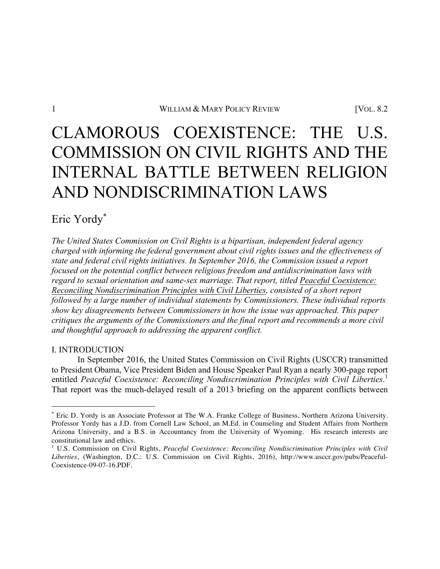# CLAMOROUS COEXISTENCE: THE U.S. COMMISSION ON CIVIL RIGHTS AND THE INTERNAL BATTLE BETWEEN RELIGION AND NONDISCRIMINATION LAWS

Eric Yordy\*

*The United States Commission on Civil Rights is a bipartisan, independent federal agency charged with informing the federal government about civil rights issues and the effectiveness of state and federal civil rights initiatives. In September 2016, the Commission issued a report focused on the potential conflict between religious freedom and antidiscrimination laws with regard to sexual orientation and same-sex marriage. That report, titled Peaceful Coexistence: Reconciling Nondiscrimination Principles with Civil Liberties, consisted of a short report followed by a large number of individual statements by Commissioners. These individual reports show key disagreements between Commissioners in how the issue was approached. This paper critiques the arguments of the Commissioners and the final report and recommends a more civil and thoughtful approach to addressing the apparent conflict.* 

# I. INTRODUCTION

<u> 1989 - Johann Barn, mars ann an t-Amhain an t-Amhain an t-Amhain an t-Amhain an t-Amhain an t-Amhain an t-Amh</u>

In September 2016, the United States Commission on Civil Rights (USCCR) transmitted to President Obama, Vice President Biden and House Speaker Paul Ryan a nearly 300-page report entitled *Peaceful Coexistence: Reconciling Nondiscrimination Principles with Civil Liberties*. 1 That report was the much-delayed result of a 2013 briefing on the apparent conflicts between

<sup>\*</sup> Eric D. Yordy is an Associate Professor at The W.A. Franke College of Business, Northern Arizona University. Professor Yordy has a J.D. from Cornell Law School, an M.Ed. in Counseling and Student Affairs from Northern Arizona University, and a B.S. in Accountancy from the University of Wyoming. His research interests are constitutional law and ethics.

<sup>1</sup> U.S. Commission on Civil Rights, *Peaceful Coexistence: Reconciling Nondiscrimination Principles with Civil Liberties*, (Washington, D.C.: U.S. Commission on Civil Rights, 2016), http://www.usccr.gov/pubs/Peaceful-Coexistence-09-07-16.PDF.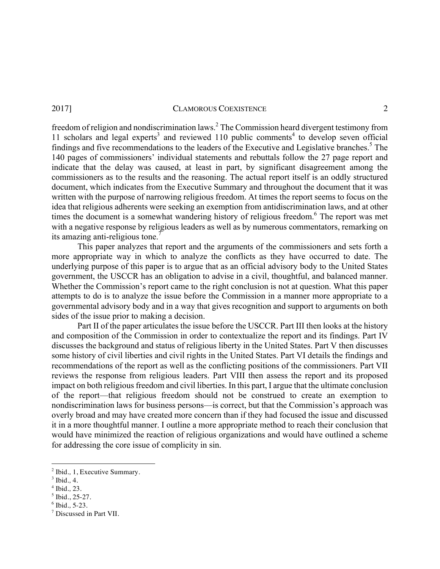freedom of religion and nondiscrimination laws.2 The Commission heard divergent testimony from 11 scholars and legal experts<sup>3</sup> and reviewed 110 public comments<sup>4</sup> to develop seven official findings and five recommendations to the leaders of the Executive and Legislative branches.<sup>5</sup> The 140 pages of commissioners' individual statements and rebuttals follow the 27 page report and indicate that the delay was caused, at least in part, by significant disagreement among the commissioners as to the results and the reasoning. The actual report itself is an oddly structured document, which indicates from the Executive Summary and throughout the document that it was written with the purpose of narrowing religious freedom. At times the report seems to focus on the idea that religious adherents were seeking an exemption from antidiscrimination laws, and at other times the document is a somewhat wandering history of religious freedom.<sup>6</sup> The report was met with a negative response by religious leaders as well as by numerous commentators, remarking on its amazing anti-religious tone.<sup>7</sup>

This paper analyzes that report and the arguments of the commissioners and sets forth a more appropriate way in which to analyze the conflicts as they have occurred to date. The underlying purpose of this paper is to argue that as an official advisory body to the United States government, the USCCR has an obligation to advise in a civil, thoughtful, and balanced manner. Whether the Commission's report came to the right conclusion is not at question. What this paper attempts to do is to analyze the issue before the Commission in a manner more appropriate to a governmental advisory body and in a way that gives recognition and support to arguments on both sides of the issue prior to making a decision.

Part II of the paper articulates the issue before the USCCR. Part III then looks at the history and composition of the Commission in order to contextualize the report and its findings. Part IV discusses the background and status of religious liberty in the United States. Part V then discusses some history of civil liberties and civil rights in the United States. Part VI details the findings and recommendations of the report as well as the conflicting positions of the commissioners. Part VII reviews the response from religious leaders. Part VIII then assess the report and its proposed impact on both religious freedom and civil liberties. In this part, I argue that the ultimate conclusion of the report—that religious freedom should not be construed to create an exemption to nondiscrimination laws for business persons—is correct, but that the Commission's approach was overly broad and may have created more concern than if they had focused the issue and discussed it in a more thoughtful manner. I outline a more appropriate method to reach their conclusion that would have minimized the reaction of religious organizations and would have outlined a scheme for addressing the core issue of complicity in sin.

<sup>2</sup> Ibid*.,* 1, Executive Summary. 3 Ibid*.,* 4. 4 Ibid*.,* 23. 5 Ibid., 25-27. 6 Ibid*.,* 5-23.

<sup>7</sup> Discussed in Part VII.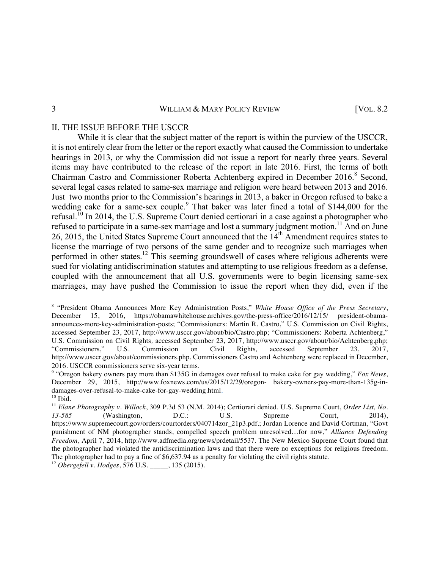# II. THE ISSUE BEFORE THE USCCR

<u> 1989 - Johann Barn, mars ann an t-Amhain an t-Amhain an t-Amhain an t-Amhain an t-Amhain an t-Amhain an t-Amh</u>

While it is clear that the subject matter of the report is within the purview of the USCCR, it is not entirely clear from the letter or the report exactly what caused the Commission to undertake hearings in 2013, or why the Commission did not issue a report for nearly three years. Several items may have contributed to the release of the report in late 2016. First, the terms of both Chairman Castro and Commissioner Roberta Achtenberg expired in December 2016.<sup>8</sup> Second, several legal cases related to same-sex marriage and religion were heard between 2013 and 2016. Just two months prior to the Commission's hearings in 2013, a baker in Oregon refused to bake a wedding cake for a same-sex couple.<sup>9</sup> That baker was later fined a total of \$144,000 for the refusal.<sup>10</sup> In 2014, the U.S. Supreme Court denied certiorari in a case against a photographer who refused to participate in a same-sex marriage and lost a summary judgment motion.<sup>11</sup> And on June 26, 2015, the United States Supreme Court announced that the 14<sup>th</sup> Amendment requires states to license the marriage of two persons of the same gender and to recognize such marriages when performed in other states.<sup>12</sup> This seeming groundswell of cases where religious adherents were sued for violating antidiscrimination statutes and attempting to use religious freedom as a defense, coupled with the announcement that all U.S. governments were to begin licensing same-sex marriages, may have pushed the Commission to issue the report when they did, even if the

<sup>8</sup> "President Obama Announces More Key Administration Posts," *White House Office of the Press Secretary*, December 15, 2016, https://obamawhitehouse.archives.gov/the-press-office/2016/12/15/ president-obamaannounces-more-key-administration-posts; "Commissioners: Martin R. Castro," U.S. Commission on Civil Rights, accessed September 23, 2017, http://www.usccr.gov/about/bio/Castro.php; "Commissioners: Roberta Achtenberg," U.S. Commission on Civil Rights*,* accessed September 23, 2017, http://www.usccr.gov/about/bio/Achtenberg.php; "Commissioners," U.S. Commission on Civil Rights*,* accessed September 23, 2017, http://www.usccr.gov/about/commissioners.php. Commissioners Castro and Achtenberg were replaced in December, 2016. USCCR commissioners serve six-year terms.

<sup>9</sup> "Oregon bakery owners pay more than \$135G in damages over refusal to make cake for gay wedding," *Fox News*, December 29, 2015, http://www.foxnews.com/us/2015/12/29/oregon- bakery-owners-pay-more-than-135g-indamages-over-refusal-to-make-cake-for-gay-wedding.html. <sup>10</sup> Ibid*.*

<sup>11</sup> *Elane Photography v. Willock*, 309 P.3d 53 (N.M. 2014); Certiorari denied. U.S. Supreme Court, *Order List, No. 13-585* (Washington, D.C.: U.S. Supreme Court, 2014), https://www.supremecourt.gov/orders/courtorders/040714zor\_21p3.pdf.; Jordan Lorence and David Cortman, "Govt punishment of NM photographer stands, compelled speech problem unresolved…for now," *Alliance Defending Freedom*, April 7, 2014, http://www.adfmedia.org/news/prdetail/5537. The New Mexico Supreme Court found that the photographer had violated the antidiscrimination laws and that there were no exceptions for religious freedom. The photographer had to pay a fine of \$6,637.94 as a penalty for violating the civil rights statute.

<sup>12</sup> *Obergefell v. Hodges*, 576 U.S. \_\_\_\_\_, 135 (2015).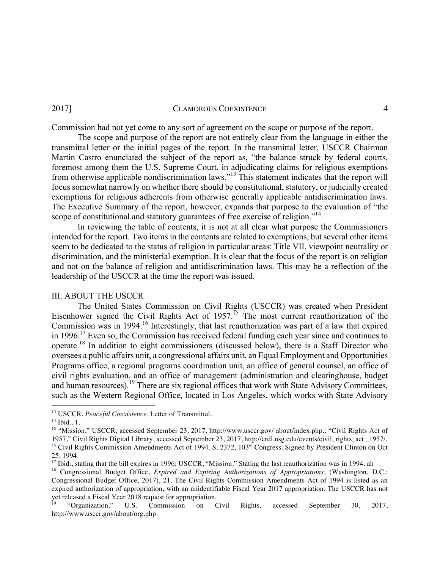Commission had not yet come to any sort of agreement on the scope or purpose of the report.

The scope and purpose of the report are not entirely clear from the language in either the transmittal letter or the initial pages of the report. In the transmittal letter, USCCR Chairman Martin Castro enunciated the subject of the report as, "the balance struck by federal courts, foremost among them the U.S. Supreme Court, in adjudicating claims for religious exemptions from otherwise applicable nondiscrimination laws."13 This statement indicates that the report will focus somewhat narrowly on whether there should be constitutional, statutory, or judicially created exemptions for religious adherents from otherwise generally applicable antidiscrimination laws. The Executive Summary of the report, however, expands that purpose to the evaluation of "the scope of constitutional and statutory guarantees of free exercise of religion."<sup>14</sup>

In reviewing the table of contents, it is not at all clear what purpose the Commissioners intended for the report. Two items in the contents are related to exemptions, but several other items seem to be dedicated to the status of religion in particular areas: Title VII, viewpoint neutrality or discrimination, and the ministerial exemption. It is clear that the focus of the report is on religion and not on the balance of religion and antidiscrimination laws. This may be a reflection of the leadership of the USCCR at the time the report was issued.

# III. ABOUT THE USCCR

<u> 1989 - Johann Barn, mars ann an t-Amhain an t-Amhain an t-Amhain an t-Amhain an t-Amhain an t-Amhain an t-Amh</u>

The United States Commission on Civil Rights (USCCR) was created when President Eisenhower signed the Civil Rights Act of  $1957$ .<sup>15</sup> The most current reauthorization of the Commission was in 1994.<sup>16</sup> Interestingly, that last reauthorization was part of a law that expired in 1996.17 Even so, the Commission has received federal funding each year since and continues to operate.<sup>18</sup> In addition to eight commissioners (discussed below), there is a Staff Director who oversees a public affairs unit, a congressional affairs unit, an Equal Employment and Opportunities Programs office, a regional programs coordination unit, an office of general counsel, an office of civil rights evaluation, and an office of management (administration and clearinghouse, budget and human resources).<sup>19</sup> There are six regional offices that work with State Advisory Committees, such as the Western Regional Office, located in Los Angeles, which works with State Advisory

<sup>&</sup>lt;sup>13</sup> USCCR, *Peaceful Coexistence*, Letter of Transmittal.<br><sup>14</sup> Ibid., 1.

<sup>&</sup>lt;sup>15</sup> "Mission," USCCR, accessed September 23, 2017, http://www.usccr.gov/ about/index.php.; "Civil Rights Act of 1957," Civil Rights Digital Library, accessed September 23, 2017, http://crdl.usg.edu/events/civil\_rights\_act \_1957/. <sup>16</sup> Civil Rights Commission Amendments Act of 1994, S. 2372, 103<sup>rd</sup> Congress. Signed by President Clinton on Oct 25, 1994.

<sup>&</sup>lt;sup>17</sup> Ibid., stating that the bill expires in 1996; USCCR, "Mission." Stating the last reauthorization was in 1994. ah

<sup>18</sup> Congressional Budget Office, *Expired and Expiring Authorizations of Appropriations*, (Washington, D.C.: Congressional Budget Office, 2017), 21. The Civil Rights Commission Amendments Act of 1994 is listed as an expired authorization of appropriation, with an unidentifiable Fiscal Year 2017 appropriation. The USCCR has not yet released a Fiscal Year 2018 request for appropriation.

<sup>&</sup>lt;sup>19</sup> "Organization," U.S. Commission on Civil Rights, accessed September 30, 2017, http://www.usccr.gov/about/org.php.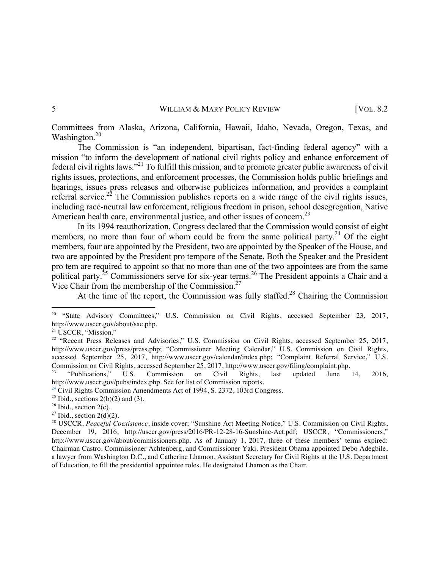Committees from Alaska, Arizona, California, Hawaii, Idaho, Nevada, Oregon, Texas, and Washington.<sup>20</sup>

The Commission is "an independent, bipartisan, fact-finding federal agency" with a mission "to inform the development of national civil rights policy and enhance enforcement of federal civil rights laws."21 To fulfill this mission, and to promote greater public awareness of civil rights issues, protections, and enforcement processes, the Commission holds public briefings and hearings, issues press releases and otherwise publicizes information, and provides a complaint referral service.<sup>22</sup> The Commission publishes reports on a wide range of the civil rights issues, including race-neutral law enforcement, religious freedom in prison, school desegregation, Native American health care, environmental justice, and other issues of concern.<sup>23</sup>

In its 1994 reauthorization, Congress declared that the Commission would consist of eight members, no more than four of whom could be from the same political party.<sup>24</sup> Of the eight members, four are appointed by the President, two are appointed by the Speaker of the House, and two are appointed by the President pro tempore of the Senate. Both the Speaker and the President pro tem are required to appoint so that no more than one of the two appointees are from the same political party.<sup>25</sup> Commissioners serve for six-year terms.<sup>26</sup> The President appoints a Chair and a Vice Chair from the membership of the Commission.27

At the time of the report, the Commission was fully staffed.<sup>28</sup> Chairing the Commission

<sup>&</sup>lt;sup>20</sup> "State Advisory Committees," U.S. Commission on Civil Rights, accessed September 23, 2017, http://www.usccr.gov/about/sac.php.

<sup>&</sup>lt;sup>21</sup> USCCR, "Mission."

<sup>&</sup>lt;sup>22</sup> "Recent Press Releases and Advisories," U.S. Commission on Civil Rights, accessed September 25, 2017, http://www.usccr.gov/press/press.php; "Commissioner Meeting Calendar," U.S. Commission on Civil Rights, accessed September 25, 2017, http://www.usccr.gov/calendar/index.php; "Complaint Referral Service," U.S. Commission on Civil Rights, accessed September 25, 2017, http://www.usccr.gov/filing/complaint.php.

<sup>23</sup> "Publications," U.S. Commission on Civil Rights, last updated June 14, 2016, http://www.usccr.gov/pubs/index.php. See for list of Commission reports.<br><sup>24</sup> Civil Rights Commission Amendments Act of 1994, S. 2372, 103rd Congress.

<sup>&</sup>lt;sup>25</sup> Ibid., sections 2(b)(2) and (3).<br><sup>26</sup> Ibid., section 2(c).<br><sup>27</sup> Ibid., section 2(d)(2).<br><sup>27</sup> USCCR, *Peaceful Coexistence*, inside cover; "Sunshine Act Meeting Notice," U.S. Commission on Civil Rights, December 19, 2016, http://usccr.gov/press/2016/PR-12-28-16-Sunshine-Act.pdf; USCCR, "Commissioners," http://www.usccr.gov/about/commissioners.php. As of January 1, 2017, three of these members' terms expired: Chairman Castro, Commissioner Achtenberg, and Commissioner Yaki. President Obama appointed Debo Adegbile, a lawyer from Washington D.C., and Catherine Lhamon, Assistant Secretary for Civil Rights at the U.S. Department of Education, to fill the presidential appointee roles. He designated Lhamon as the Chair.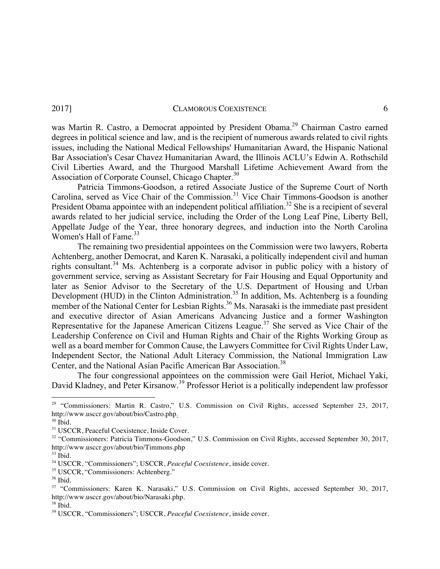was Martin R. Castro, a Democrat appointed by President Obama.<sup>29</sup> Chairman Castro earned degrees in political science and law, and is the recipient of numerous awards related to civil rights issues, including the National Medical Fellowships' Humanitarian Award, the Hispanic National Bar Association's Cesar Chavez Humanitarian Award, the Illinois ACLU's Edwin A. Rothschild Civil Liberties Award, and the Thurgood Marshall Lifetime Achievement Award from the Association of Corporate Counsel, Chicago Chapter.<sup>30</sup>

Patricia Timmons-Goodson, a retired Associate Justice of the Supreme Court of North Carolina, served as Vice Chair of the Commission.<sup>31</sup> Vice Chair Timmons-Goodson is another President Obama appointee with an independent political affiliation.<sup>32</sup> She is a recipient of several awards related to her judicial service, including the Order of the Long Leaf Pine, Liberty Bell, Appellate Judge of the Year, three honorary degrees, and induction into the North Carolina Women's Hall of Fame. $33$ 

The remaining two presidential appointees on the Commission were two lawyers, Roberta Achtenberg, another Democrat, and Karen K. Narasaki, a politically independent civil and human rights consultant.<sup>34</sup> Ms. Achtenberg is a corporate advisor in public policy with a history of government service, serving as Assistant Secretary for Fair Housing and Equal Opportunity and later as Senior Advisor to the Secretary of the U.S. Department of Housing and Urban Development (HUD) in the Clinton Administration.<sup>35</sup> In addition, Ms. Achtenberg is a founding member of the National Center for Lesbian Rights.<sup>36</sup> Ms. Narasaki is the immediate past president and executive director of Asian Americans Advancing Justice and a former Washington Representative for the Japanese American Citizens League.<sup>37</sup> She served as Vice Chair of the Leadership Conference on Civil and Human Rights and Chair of the Rights Working Group as well as a board member for Common Cause, the Lawyers Committee for Civil Rights Under Law, Independent Sector, the National Adult Literacy Commission, the National Immigration Law Center, and the National Asian Pacific American Bar Association.<sup>38</sup>

The four congressional appointees on the commission were Gail Heriot, Michael Yaki, David Kladney, and Peter Kirsanow.<sup>39</sup> Professor Heriot is a politically independent law professor

<sup>&</sup>lt;sup>29</sup> "Commissioners: Martin R. Castro," U.S. Commission on Civil Rights, accessed September 23, 2017, http://www.usccr.gov/about/bio/Castro.php.

<sup>&</sup>lt;sup>30</sup> Ibid.<br><sup>31</sup> USCCR, Peaceful Coexistence, Inside Cover.

<sup>&</sup>lt;sup>32</sup> "Commissioners: Patricia Timmons-Goodson," U.S. Commission on Civil Rights, accessed September 30, 2017, http://www.usccr.gov/about/bio/Timmons.php

<sup>33</sup> Ibid*.*

<sup>34</sup> USCCR, "Commissioners"; USCCR, *Peaceful Coexistence*, inside cover.

<sup>35</sup> USCCR, "Commissioners: Achtenberg."

<sup>36</sup> Ibid.

<sup>&</sup>lt;sup>37</sup> "Commissioners: Karen K. Narasaki," U.S. Commission on Civil Rights, accessed September 30, 2017, http://www.usccr.gov/about/bio/Narasaki.php.

<sup>38</sup> Ibid.

<sup>39</sup> USCCR, "Commissioners"; USCCR, *Peaceful Coexistence*, inside cover.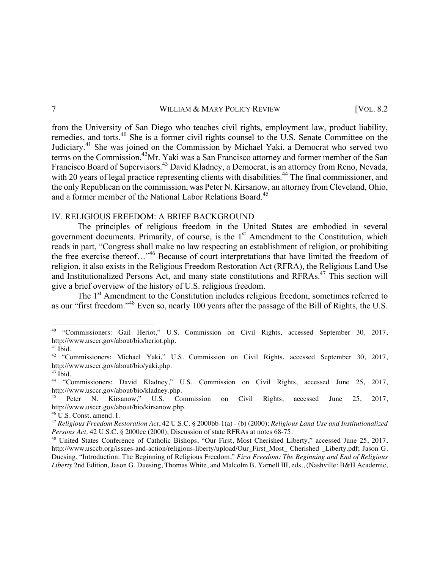from the University of San Diego who teaches civil rights, employment law, product liability, remedies, and torts.<sup>40</sup> She is a former civil rights counsel to the U.S. Senate Committee on the Judiciary.<sup>41</sup> She was joined on the Commission by Michael Yaki, a Democrat who served two terms on the Commission.<sup>42</sup>Mr. Yaki was a San Francisco attorney and former member of the San Francisco Board of Supervisors.<sup>43</sup> David Kladney, a Democrat, is an attorney from Reno, Nevada, with 20 years of legal practice representing clients with disabilities.<sup>44</sup> The final commissioner, and the only Republican on the commission, was Peter N. Kirsanow, an attorney from Cleveland, Ohio, and a former member of the National Labor Relations Board.<sup>45</sup>

# IV. RELIGIOUS FREEDOM: A BRIEF BACKGROUND

The principles of religious freedom in the United States are embodied in several government documents. Primarily, of course, is the  $1<sup>st</sup>$  Amendment to the Constitution, which reads in part, "Congress shall make no law respecting an establishment of religion, or prohibiting the free exercise thereof…"<sup>46</sup> Because of court interpretations that have limited the freedom of religion, it also exists in the Religious Freedom Restoration Act (RFRA), the Religious Land Use and Institutionalized Persons Act, and many state constitutions and RFRAs.<sup>47</sup> This section will give a brief overview of the history of U.S. religious freedom.

The 1<sup>st</sup> Amendment to the Constitution includes religious freedom, sometimes referred to as our "first freedom."<sup>48</sup> Even so, nearly 100 years after the passage of the Bill of Rights, the U.S.

<sup>&</sup>lt;sup>40</sup> "Commissioners: Gail Heriot," U.S. Commission on Civil Rights, accessed September 30, 2017, http://www.usccr.gov/about/bio/heriot.php.

<sup>41</sup> Ibid.

<sup>&</sup>lt;sup>42</sup> "Commissioners: Michael Yaki," U.S. Commission on Civil Rights, accessed September 30, 2017, http://www.usccr.gov/about/bio/yaki.php.

<sup>43</sup> Ibid.

<sup>44</sup> "Commissioners: David Kladney," U.S. Commission on Civil Rights, accessed June 25, 2017, http://www.usccr.gov/about/bio/kladney.php.<br><sup>45</sup> Peter N. Kirsanow," U.S. Commission

Peter N. Kirsanow," U.S. Commission on Civil Rights, accessed June 25, 2017, http://www.usccr.gov/about/bio/kirsanow.php.

 $46 \text{ U.S.}$  Const. amend. I.

<sup>47</sup> *Religious Freedom Restoration Act*, 42 U.S.C. § 2000bb-1(a) - (b) (2000); *Religious Land Use and Institutionalized* 

<sup>&</sup>lt;sup>48</sup> United States Conference of Catholic Bishops, "Our First, Most Cherished Liberty," accessed June 25, 2017, http://www.usccb.org/issues-and-action/religious-liberty/upload/Our\_First\_Most\_ Cherished \_Liberty.pdf; Jason G. Duesing, "Introduction: The Beginning of Religious Freedom," *First Freedom: The Beginning and End of Religious Liberty* 2nd Edition*,* Jason G. Duesing, Thomas White, and Malcolm B. Yarnell III, eds., (Nashville: B&H Academic,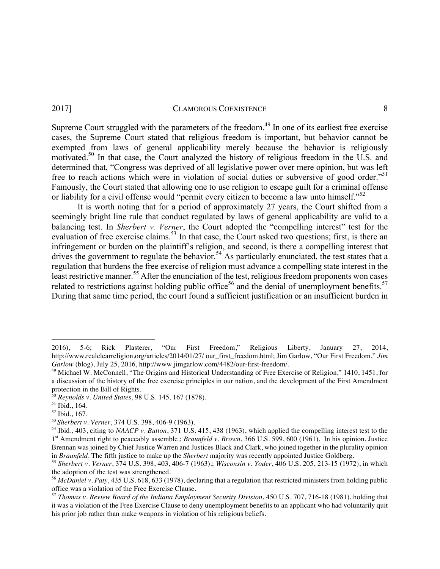Supreme Court struggled with the parameters of the freedom.<sup>49</sup> In one of its earliest free exercise cases, the Supreme Court stated that religious freedom is important, but behavior cannot be exempted from laws of general applicability merely because the behavior is religiously motivated. <sup>50</sup> In that case, the Court analyzed the history of religious freedom in the U.S. and determined that, "Congress was deprived of all legislative power over mere opinion, but was left free to reach actions which were in violation of social duties or subversive of good order."<sup>51</sup> Famously, the Court stated that allowing one to use religion to escape guilt for a criminal offense or liability for a civil offense would "permit every citizen to become a law unto himself."<sup>52</sup>

It is worth noting that for a period of approximately 27 years, the Court shifted from a seemingly bright line rule that conduct regulated by laws of general applicability are valid to a balancing test. In *Sherbert v. Verner*, the Court adopted the "compelling interest" test for the evaluation of free exercise claims.<sup>53</sup> In that case, the Court asked two questions; first, is there an infringement or burden on the plaintiff's religion, and second, is there a compelling interest that drives the government to regulate the behavior.<sup>54</sup> As particularly enunciated, the test states that a regulation that burdens the free exercise of religion must advance a compelling state interest in the least restrictive manner.<sup>55</sup> After the enunciation of the test, religious freedom proponents won cases related to restrictions against holding public office<sup>56</sup> and the denial of unemployment benefits.<sup>57</sup> During that same time period, the court found a sufficient justification or an insufficient burden in

<sup>2016), 5-6;</sup> Rick Plasterer, "Our First Freedom," Religious Liberty, January 27, 2014, http://www.realclearreligion.org/articles/2014/01/27/ our\_first\_freedom.html; Jim Garlow, "Our First Freedom," *Jim Garlow* (blog), July 25, 2016, http://www.jimgarlow.com/4482/our-first-freedom/.

<sup>&</sup>lt;sup>49</sup> Michael W. McConnell, "The Origins and Historical Understanding of Free Exercise of Religion," 1410, 1451, for a discussion of the history of the free exercise principles in our nation, and the development of the First Amendment protection in the Bill of Rights.

<sup>&</sup>lt;sup>50</sup> Reynolds v. United States, 98 U.S. 145, 167 (1878).<br><sup>51</sup> Ibid., 164.

<sup>52</sup> Ibid., 167. 53 *Sherbert v. Verner*, 374 U.S. 398, 406-9 (1963).

<sup>54</sup> Ibid., 403, citing to *NAACP v. Button*, 371 U.S. 415, 438 (1963), which applied the compelling interest test to the 1st Amendment right to peaceably assemble.; *Braunfeld v. Brown*, 366 U.S. 599, 600 (1961). In his opinion, Justice Brennan was joined by Chief Justice Warren and Justices Black and Clark, who joined together in the plurality opinion in *Braunfeld*. The fifth justice to make up the *Sherbert* majority was recently appointed Justice Goldberg.

<sup>55</sup> *Sherbert v. Verner*, 374 U.S. 398, 403, 406-7 (1963).; *Wisconsin v. Yoder*, 406 U.S. 205, 213-15 (1972), in which the adoption of the test was strengthened.

<sup>&</sup>lt;sup>56</sup> *McDaniel v. Paty*, 435 U.S. 618, 633 (1978), declaring that a regulation that restricted ministers from holding public office was a violation of the Free Exercise Clause.

<sup>57</sup> *Thomas v. Review Board of the Indiana Employment Security Division*, 450 U.S. 707, 716-18 (1981), holding that it was a violation of the Free Exercise Clause to deny unemployment benefits to an applicant who had voluntarily quit his prior job rather than make weapons in violation of his religious beliefs.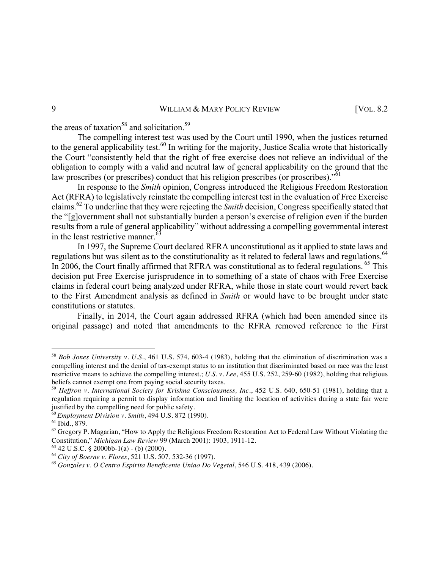the areas of taxation<sup>58</sup> and solicitation.<sup>59</sup>

The compelling interest test was used by the Court until 1990, when the justices returned to the general applicability test.<sup>60</sup> In writing for the majority, Justice Scalia wrote that historically the Court "consistently held that the right of free exercise does not relieve an individual of the obligation to comply with a valid and neutral law of general applicability on the ground that the law proscribes (or prescribes) conduct that his religion prescribes (or proscribes).<sup>"61</sup>

In response to the *Smith* opinion, Congress introduced the Religious Freedom Restoration Act (RFRA) to legislatively reinstate the compelling interest test in the evaluation of Free Exercise claims.<sup>62</sup> To underline that they were rejecting the *Smith* decision, Congress specifically stated that the "[g]overnment shall not substantially burden a person's exercise of religion even if the burden results from a rule of general applicability" without addressing a compelling governmental interest in the least restrictive manner.<sup>6</sup>

In 1997, the Supreme Court declared RFRA unconstitutional as it applied to state laws and regulations but was silent as to the constitutionality as it related to federal laws and regulations.<sup>64</sup> In 2006, the Court finally affirmed that RFRA was constitutional as to federal regulations. <sup>65</sup> This decision put Free Exercise jurisprudence in to something of a state of chaos with Free Exercise claims in federal court being analyzed under RFRA, while those in state court would revert back to the First Amendment analysis as defined in *Smith* or would have to be brought under state constitutions or statutes.

Finally, in 2014, the Court again addressed RFRA (which had been amended since its original passage) and noted that amendments to the RFRA removed reference to the First

<sup>58</sup> *Bob Jones University v. U.S.*, 461 U.S. 574, 603-4 (1983), holding that the elimination of discrimination was a compelling interest and the denial of tax-exempt status to an institution that discriminated based on race was the least restrictive means to achieve the compelling interest.; *U.S. v. Lee*, 455 U.S. 252, 259-60 (1982), holding that religious beliefs cannot exempt one from paying social security taxes.

<sup>59</sup> *Heffron v. International Society for Krishna Consciousness, Inc*., 452 U.S. 640, 650-51 (1981), holding that a regulation requiring a permit to display information and limiting the location of activities during a state fair were justified by the compelling need for public safety.

<sup>60</sup> *Employment Division v. Smith*, 494 U.S. 872 (1990).

<sup>61</sup> Ibid., 879.

 $62$  Gregory P. Magarian, "How to Apply the Religious Freedom Restoration Act to Federal Law Without Violating the Constitution," *Michigan Law Review* 99 (March 2001): 1903, 1911-12.

 $63$  42 U.S.C. § 2000bb-1(a) - (b) (2000).

<sup>64</sup> *City of Boerne v. Flores*, 521 U.S. 507, 532-36 (1997).

<sup>65</sup> *Gonzales v. O Centro Espirita Beneficente Uniao Do Vegetal*, 546 U.S. 418, 439 (2006).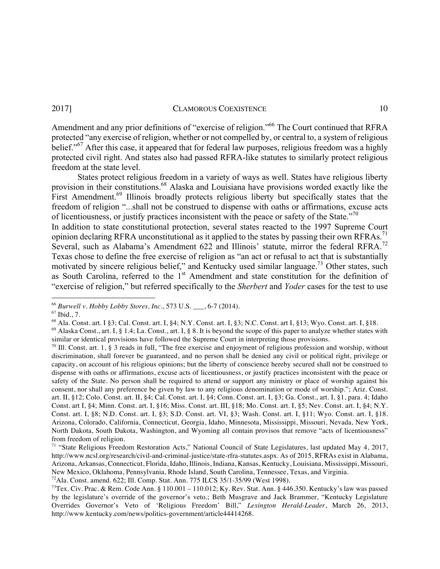Amendment and any prior definitions of "exercise of religion."<sup>66</sup> The Court continued that RFRA protected "any exercise of religion, whether or not compelled by, or central to, a system of religious belief."<sup>67</sup> After this case, it appeared that for federal law purposes, religious freedom was a highly protected civil right. And states also had passed RFRA-like statutes to similarly protect religious freedom at the state level.

States protect religious freedom in a variety of ways as well. States have religious liberty provision in their constitutions.<sup>68</sup> Alaska and Louisiana have provisions worded exactly like the First Amendment.<sup>69</sup> Illinois broadly protects religious liberty but specifically states that the freedom of religion "...shall not be construed to dispense with oaths or affirmations, excuse acts of licentiousness, or justify practices inconsistent with the peace or safety of the State."<sup>70</sup>

In addition to state constitutional protection, several states reacted to the 1997 Supreme Court opinion declaring RFRA unconstitutional as it applied to the states by passing their own RFRAs.<sup>71</sup> Several, such as Alabama's Amendment 622 and Illinois' statute, mirror the federal RFRA.<sup>72</sup> Texas chose to define the free exercise of religion as "an act or refusal to act that is substantially motivated by sincere religious belief," and Kentucky used similar language.<sup>73</sup> Other states, such as South Carolina, referred to the 1<sup>st</sup> Amendment and state constitution for the definition of "exercise of religion," but referred specifically to the *Sherbert* and *Yoder* cases for the test to use

 

<sup>66</sup> *Burwell v. Hobby Lobby Stores, Inc*., 573 U.S. \_\_\_, 6-7 (2014).

 $67$  Ibid., 7.

<sup>68</sup> Ala. Const. art. I §3; Cal. Const. art. I, §4; N.Y. Const. art. I, §3; N.C. Const. art I, §13; Wyo. Const. art. I, §18.

 $^{69}$  Alaska Const., art. I, § 1.4; La. Const., art. I, § 8. It is beyond the scope of this paper to analyze whether states with similar or identical provisions have followed the Supreme Court in interpreting those provisions.

 $70$  Ill. Const. art. 1, § 3 reads in full, "The free exercise and enjoyment of religious profession and worship, without discrimination, shall forever be guaranteed, and no person shall be denied any civil or political right, privilege or capacity, on account of his religious opinions; but the liberty of conscience hereby secured shall not be construed to dispense with oaths or affirmations, excuse acts of licentiousness, or justify practices inconsistent with the peace or safety of the State. No person shall be required to attend or support any ministry or place of worship against his consent, nor shall any preference be given by law to any religious denomination or mode of worship."; Ariz. Const. art. II, §12; Colo. Const. art. II, §4; Cal. Const. art. I, §4; Conn. Const. art. I, §3; Ga. Const., art. I, §1, para. 4; Idaho Const. art I, §4; Minn. Const. art. I, §16; Miss. Const. art. III, §18; Mo. Const. art. I, §5; Nev. Const. art. I, §4; N.Y. Const. art. I, §8; N.D. Const. art. I, §3; S.D. Const. art. VI, §3; Wash. Const. art. I, §11; Wyo. Const. art. I, §18. Arizona, Colorado, California, Connecticut, Georgia, Idaho, Minnesota, Mississippi, Missouri, Nevada, New York, North Dakota, South Dakota, Washington, and Wyoming all contain provisos that remove "acts of licentiousness" from freedom of religion.

<sup>&</sup>lt;sup>71</sup> "State Religious Freedom Restoration Acts," National Council of State Legislatures, last updated May 4, 2017, http://www.ncsl.org/research/civil-and-criminal-justice/state-rfra-statutes.aspx. As of 2015, RFRAs exist in Alabama, Arizona, Arkansas, Connecticut, Florida, Idaho, Illinois, Indiana, Kansas, Kentucky, Louisiana, Mississippi, Missouri, New Mexico, Oklahoma, Pennsylvania, Rhode Island, South Carolina, Tennessee, Texas, and Virginia.<br><sup>72</sup>Ala. Const. amend. 622; Ill. Comp. Stat. Ann. 775 ILCS 35/1-35/99 (West 1998).

<sup>&</sup>lt;sup>73</sup>Tex. Civ. Prac. & Rem. Code Ann. § 110.001 – 110.012; Ky. Rev. Stat. Ann. § 446.350. Kentucky's law was passed by the legislature's override of the governor's veto.; Beth Musgrave and Jack Brammer, "Kentucky Legislature Overrides Governor's Veto of 'Religious Freedom' Bill," *Lexington Herald-Leader*, March 26, 2013, http://www.kentucky.com/news/politics-government/article44414268.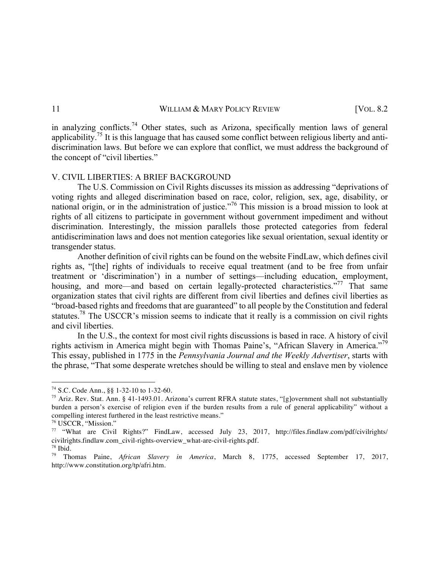in analyzing conflicts.<sup>74</sup> Other states, such as Arizona, specifically mention laws of general applicability.75 It is this language that has caused some conflict between religious liberty and antidiscrimination laws. But before we can explore that conflict, we must address the background of the concept of "civil liberties."

# V. CIVIL LIBERTIES: A BRIEF BACKGROUND

The U.S. Commission on Civil Rights discusses its mission as addressing "deprivations of voting rights and alleged discrimination based on race, color, religion, sex, age, disability, or national origin, or in the administration of justice."<sup>76</sup> This mission is a broad mission to look at rights of all citizens to participate in government without government impediment and without discrimination. Interestingly, the mission parallels those protected categories from federal antidiscrimination laws and does not mention categories like sexual orientation, sexual identity or transgender status.

Another definition of civil rights can be found on the website FindLaw, which defines civil rights as, "[the] rights of individuals to receive equal treatment (and to be free from unfair treatment or 'discrimination') in a number of settings—including education, employment, housing, and more—and based on certain legally-protected characteristics."<sup>77</sup> That same organization states that civil rights are different from civil liberties and defines civil liberties as "broad-based rights and freedoms that are guaranteed" to all people by the Constitution and federal statutes.<sup>78</sup> The USCCR's mission seems to indicate that it really is a commission on civil rights and civil liberties.

In the U.S., the context for most civil rights discussions is based in race. A history of civil rights activism in America might begin with Thomas Paine's, "African Slavery in America."<sup>79</sup> This essay, published in 1775 in the *Pennsylvania Journal and the Weekly Advertiser*, starts with the phrase, "That some desperate wretches should be willing to steal and enslave men by violence

 

<sup>74</sup> S.C. Code Ann., §§ 1-32-10 to 1-32-60.

<sup>&</sup>lt;sup>75</sup> Ariz. Rev. Stat. Ann. § 41-1493.01. Arizona's current RFRA statute states, "[g]overnment shall not substantially burden a person's exercise of religion even if the burden results from a rule of general applicability" without a

<sup>&</sup>lt;sup>76</sup> USCCR, "Mission."<br><sup>77</sup> "What are Civil Rights?" FindLaw, accessed July 23, 2017, http://files.findlaw.com/pdf/civilrights/ civilrights.findlaw.com\_civil-rights-overview\_what-are-civil-rights.pdf.

<sup>78</sup> Ibid*.*

<sup>79</sup> Thomas Paine, *African Slavery in America*, March 8, 1775, accessed September 17, 2017, http://www.constitution.org/tp/afri.htm.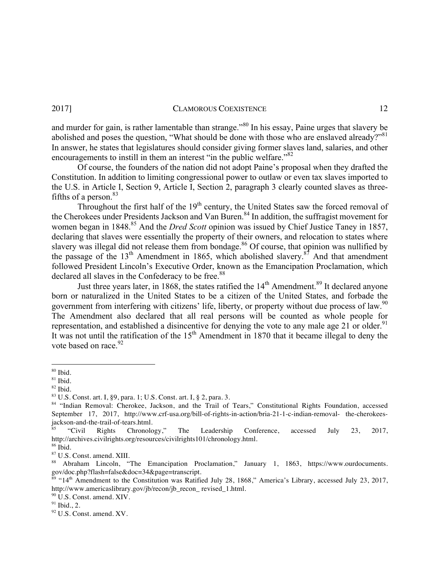and murder for gain, is rather lamentable than strange."<sup>80</sup> In his essay, Paine urges that slavery be abolished and poses the question, "What should be done with those who are enslaved already?"<sup>81</sup> In answer, he states that legislatures should consider giving former slaves land, salaries, and other encouragements to instill in them an interest "in the public welfare." $82$ 

Of course, the founders of the nation did not adopt Paine's proposal when they drafted the Constitution. In addition to limiting congressional power to outlaw or even tax slaves imported to the U.S. in Article I, Section 9, Article I, Section 2, paragraph 3 clearly counted slaves as threefifths of a person. $83$ 

Throughout the first half of the  $19<sup>th</sup>$  century, the United States saw the forced removal of the Cherokees under Presidents Jackson and Van Buren.<sup>84</sup> In addition, the suffragist movement for women began in 1848.<sup>85</sup> And the *Dred Scott* opinion was issued by Chief Justice Taney in 1857, declaring that slaves were essentially the property of their owners, and relocation to states where slavery was illegal did not release them from bondage.<sup>86</sup> Of course, that opinion was nullified by the passage of the  $13<sup>th</sup>$  Amendment in 1865, which abolished slavery.<sup>87</sup> And that amendment followed President Lincoln's Executive Order, known as the Emancipation Proclamation, which declared all slaves in the Confederacy to be free.<sup>88</sup>

Just three years later, in 1868, the states ratified the  $14<sup>th</sup>$  Amendment.<sup>89</sup> It declared anyone born or naturalized in the United States to be a citizen of the United States, and forbade the government from interfering with citizens' life, liberty, or property without due process of law.<sup>90</sup> The Amendment also declared that all real persons will be counted as whole people for representation, and established a disincentive for denying the vote to any male age  $21$  or older.<sup>91</sup> It was not until the ratification of the  $15<sup>th</sup>$  Amendment in 1870 that it became illegal to deny the vote based on race  $92$ 

 $\frac{80}{81}$  Ibid.<br> $\frac{81}{82}$  Ibid.

<sup>&</sup>lt;sup>83</sup> U.S. Const. art. I, §9, para. 1; U.S. Const. art. I, § 2, para. 3. 84 "Indian Rights Foundation, accessed  $\frac{84}{100}$  "Indian Removal: Cherokee, Jackson, and the Trail of Tears," Constitutional Rights Foundation, ac September 17, 2017, http://www.crf-usa.org/bill-of-rights-in-action/bria-21-1-c-indian-removal- the-cherokeesjackson-and-the-trail-of-tears.html.

<sup>85</sup> "Civil Rights Chronology," The Leadership Conference, accessed July 23, 2017, http://archives.civilrights.org/resources/civilrights101/chronology.html.

 $87$  U.S. Const. amend. XIII.<br>  $88$  Abraham Lincoln, "The Emancipation Proclamation," January 1, 1863, https://www.ourdocuments. gov/doc.php?flash=false&doc=34&page=transcript.

<sup>&</sup>lt;sup>89</sup> "14<sup>th</sup> Amendment to the Constitution was Ratified July 28, 1868," America's Library, accessed July 23, 2017, http://www.americaslibrary.gov/jb/recon/jb\_recon\_ revised\_1.html.<br><sup>90</sup> U.S. Const. amend. XIV.

 $\frac{91}{92}$  Ibid., 2.<br> $\frac{92}{15}$  U.S. Const. amend. XV.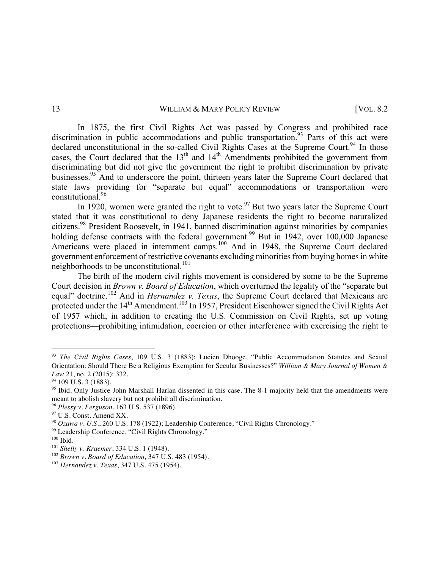In 1875, the first Civil Rights Act was passed by Congress and prohibited race discrimination in public accommodations and public transportation.<sup>93</sup> Parts of this act were declared unconstitutional in the so-called Civil Rights Cases at the Supreme Court.<sup>94</sup> In those cases, the Court declared that the  $13<sup>th</sup>$  and  $14<sup>th</sup>$  Amendments prohibited the government from discriminating but did not give the government the right to prohibit discrimination by private businesses.<sup>95</sup> And to underscore the point, thirteen years later the Supreme Court declared that state laws providing for "separate but equal" accommodations or transportation were constitutional.<sup>96</sup>

In 1920, women were granted the right to vote.<sup>97</sup> But two years later the Supreme Court stated that it was constitutional to deny Japanese residents the right to become naturalized citizens.98 President Roosevelt, in 1941, banned discrimination against minorities by companies holding defense contracts with the federal government.<sup>99</sup> But in 1942, over 100,000 Japanese Americans were placed in internment camps.<sup>100</sup> And in 1948, the Supreme Court declared government enforcement of restrictive covenants excluding minorities from buying homes in white neighborhoods to be unconstitutional.<sup>101</sup>

The birth of the modern civil rights movement is considered by some to be the Supreme Court decision in *Brown v. Board of Education*, which overturned the legality of the "separate but equal" doctrine.<sup>102</sup> And in *Hernandez v. Texas*, the Supreme Court declared that Mexicans are protected under the 14<sup>th</sup> Amendment.<sup>103</sup> In 1957, President Eisenhower signed the Civil Rights Act of 1957 which, in addition to creating the U.S. Commission on Civil Rights, set up voting protections—prohibiting intimidation, coercion or other interference with exercising the right to

<sup>93</sup> *The Civil Rights Cases*, 109 U.S. 3 (1883); Lucien Dhooge, "Public Accommodation Statutes and Sexual Orientation: Should There Be a Religious Exemption for Secular Businesses?" *William & Mary Journal of Women & Law* 21, no. 2 (2015): 332.<br><sup>94</sup> 109 U.S. 3 (1883).

<sup>95</sup> Ibid*.* Only Justice John Marshall Harlan dissented in this case. The 8-1 majority held that the amendments were meant to abolish slavery but not prohibit all discrimination.<br><sup>96</sup> Plessy v. Ferguson, 163 U.S. 537 (1896).

<sup>&</sup>lt;sup>97</sup> U.S. Const. Amend XX.<br><sup>98</sup> Ozawa v. U.S., 260 U.S. 178 (1922); Leadership Conference, "Civil Rights Chronology."

<sup>99</sup> Leadership Conference, "Civil Rights Chronology."

<sup>&</sup>lt;sup>100</sup> Ibid. <br><sup>101</sup> Shelly v. Kraemer, 334 U.S. 1 (1948).

<sup>&</sup>lt;sup>102</sup> *Brown v. Board of Education*, 347 U.S. 483 (1954).

<sup>103</sup> *Hernandez v. Texas*, 347 U.S. 475 (1954).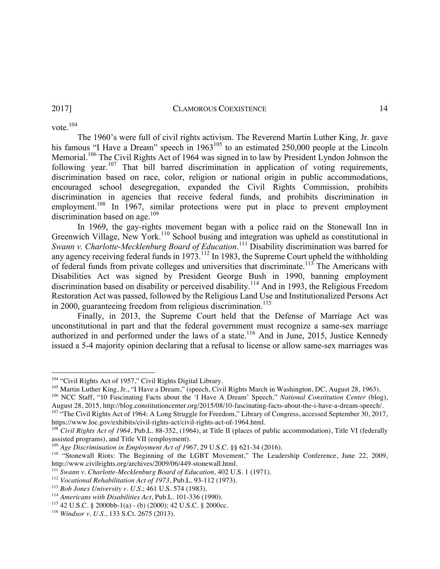vote. $104$ 

The 1960's were full of civil rights activism. The Reverend Martin Luther King, Jr. gave his famous "I Have a Dream" speech in 1963<sup>105</sup> to an estimated 250,000 people at the Lincoln Memorial.<sup>106</sup> The Civil Rights Act of 1964 was signed in to law by President Lyndon Johnson the following year.<sup>107</sup> That bill barred discrimination in application of voting requirements, discrimination based on race, color, religion or national origin in public accommodations, encouraged school desegregation, expanded the Civil Rights Commission, prohibits discrimination in agencies that receive federal funds, and prohibits discrimination in employment.<sup>108</sup> In 1967, similar protections were put in place to prevent employment discrimination based on age. $109$ 

In 1969, the gay-rights movement began with a police raid on the Stonewall Inn in Greenwich Village, New York.<sup>110</sup> School busing and integration was upheld as constitutional in *Swann v. Charlotte-Mecklenburg Board of Education*. <sup>111</sup> Disability discrimination was barred for any agency receiving federal funds in  $1973$ .<sup>112</sup> In 1983, the Supreme Court upheld the withholding of federal funds from private colleges and universities that discriminate.<sup>113</sup> The Americans with Disabilities Act was signed by President George Bush in 1990, banning employment discrimination based on disability or perceived disability.114 And in 1993, the Religious Freedom Restoration Act was passed, followed by the Religious Land Use and Institutionalized Persons Act in 2000, guaranteeing freedom from religious discrimination.<sup>115</sup>

Finally, in 2013, the Supreme Court held that the Defense of Marriage Act was unconstitutional in part and that the federal government must recognize a same-sex marriage authorized in and performed under the laws of a state.<sup>116</sup> And in June, 2015, Justice Kennedy issued a 5-4 majority opinion declaring that a refusal to license or allow same-sex marriages was

<u> 1989 - Johann Barn, mars ann an t-Amhain an t-Amhain an t-Amhain an t-Amhain an t-Amhain an t-Amhain an t-Amh</u>

<sup>104</sup> "Civil Rights Act of 1957," Civil Rights Digital Library.<br><sup>105</sup> Martin Luther King, Jr., "I Have a Dream," (speech, Civil Rights March in Washington, DC, August 28, 1963).

<sup>&</sup>lt;sup>106</sup> NCC Staff, "10 Fascinating Facts about the 'I Have A Dream' Speech," *National Constitution Center* (blog), August 28, 2015, http://blog.constitutioncenter.org/2015/08/10-fascinating-facts-about-the-i-have-a-dream-sp

<sup>&</sup>lt;sup>107</sup> "The Civil Rights Act of 1964: A Long Struggle for Freedom," Library of Congress, accessed September 30, 2017, https://www.loc.gov/exhibits/civil-rights-act/civil-rights-act-of-1964.html.<br><sup>108</sup> *Civil Rights Act of 1964*, Pub.L. 88-352, (1964), at Title II (places of public accommodation), Title VI (federally

assisted programs), and Title VII (employment).<br><sup>109</sup> Age Discrimination in Employment Act of 1967, 29 U.S.C. §§ 621-34 (2016).

<sup>&</sup>lt;sup>110</sup> "Stonewall Riots: The Beginning of the LGBT Movement," The Leadership Conference, June 22, 2009, http://www.civilrights.org/archives/2009/06/449-stonewall.html.

<sup>&</sup>lt;sup>111</sup> Swann v. Charlotte-Mecklenburg Board of Education, 402 U.S. 1 (1971).<br><sup>112</sup> Vocational Rehabilitation Act of 1973, Pub.L. 93-112 (1973).<br><sup>113</sup> Bob Jones University v. U.S.; 461 U.S. 574 (1983).<br><sup>114</sup> Americans with

<sup>&</sup>lt;sup>115</sup> 42 U.S.C. § 2000bb-1(a) - (b) (2000); 42 U.S.C. § 2000cc.

<sup>116</sup> *Windsor v. U.S.*, 133 S.Ct. 2675 (2013).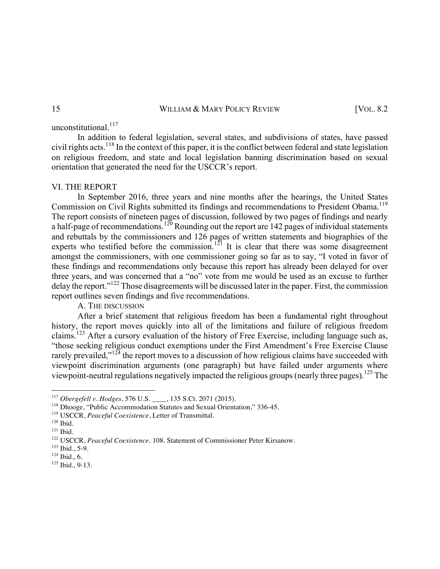unconstitutional.<sup>117</sup>

In addition to federal legislation, several states, and subdivisions of states, have passed civil rights acts.<sup>118</sup> In the context of this paper, it is the conflict between federal and state legislation on religious freedom, and state and local legislation banning discrimination based on sexual orientation that generated the need for the USCCR's report.

# VI. THE REPORT

In September 2016, three years and nine months after the hearings, the United States Commission on Civil Rights submitted its findings and recommendations to President Obama.<sup>119</sup> The report consists of nineteen pages of discussion, followed by two pages of findings and nearly a half-page of recommendations.<sup>120</sup> Rounding out the report are 142 pages of individual statements and rebuttals by the commissioners and 126 pages of written statements and biographies of the experts who testified before the commission.<sup>121</sup> It is clear that there was some disagreement amongst the commissioners, with one commissioner going so far as to say, "I voted in favor of these findings and recommendations only because this report has already been delayed for over three years, and was concerned that a "no" vote from me would be used as an excuse to further delay the report."122 Those disagreements will be discussed later in the paper. First, the commission report outlines seven findings and five recommendations.

A. THE DISCUSSION

After a brief statement that religious freedom has been a fundamental right throughout history, the report moves quickly into all of the limitations and failure of religious freedom claims.<sup>123</sup> After a cursory evaluation of the history of Free Exercise, including language such as, "those seeking religious conduct exemptions under the First Amendment's Free Exercise Clause rarely prevailed,"<sup>124</sup> the report moves to a discussion of how religious claims have succeeded with viewpoint discrimination arguments (one paragraph) but have failed under arguments where viewpoint-neutral regulations negatively impacted the religious groups (nearly three pages).<sup>125</sup> The

<sup>&</sup>lt;sup>117</sup> Obergefell v. Hodges, 576 U.S. \_\_\_\_, 135 S.Ct. 2071 (2015).

<sup>&</sup>lt;sup>118</sup> Dhooge, "Public Accommodation Statutes and Sexual Orientation," 336-45.

<sup>&</sup>lt;sup>119</sup> USCCR, *Peaceful Coexistence*, Letter of Transmittal.<br><sup>120</sup> Ibid.

 $^{121}$  Ibid.

<sup>&</sup>lt;sup>122</sup> USCCR, *Peaceful Coexistence*, 108. Statement of Commissioner Peter Kirsanow.<br><sup>123</sup> Ibid., 5-9.<br><sup>124</sup> Ibid., 6.

<sup>&</sup>lt;sup>125</sup> Ibid., 9-13.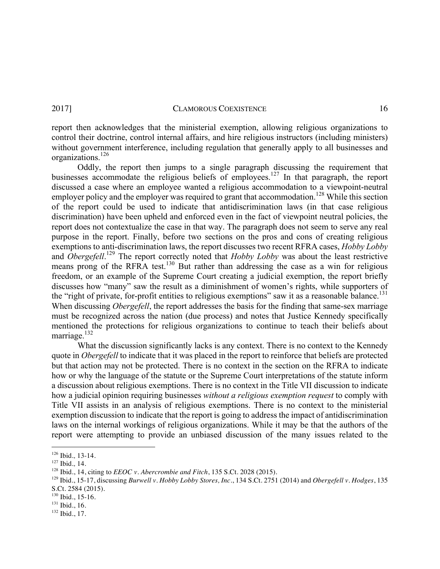report then acknowledges that the ministerial exemption, allowing religious organizations to control their doctrine, control internal affairs, and hire religious instructors (including ministers) without government interference, including regulation that generally apply to all businesses and organizations.<sup>126</sup>

Oddly, the report then jumps to a single paragraph discussing the requirement that businesses accommodate the religious beliefs of employees.<sup>127</sup> In that paragraph, the report discussed a case where an employee wanted a religious accommodation to a viewpoint-neutral employer policy and the employer was required to grant that accommodation.<sup>128</sup> While this section of the report could be used to indicate that antidiscrimination laws (in that case religious discrimination) have been upheld and enforced even in the fact of viewpoint neutral policies, the report does not contextualize the case in that way. The paragraph does not seem to serve any real purpose in the report. Finally, before two sections on the pros and cons of creating religious exemptions to anti-discrimination laws, the report discusses two recent RFRA cases, *Hobby Lobby*  and *Obergefell*.<sup>129</sup> The report correctly noted that *Hobby Lobby* was about the least restrictive means prong of the RFRA test.<sup>130</sup> But rather than addressing the case as a win for religious freedom, or an example of the Supreme Court creating a judicial exemption, the report briefly discusses how "many" saw the result as a diminishment of women's rights, while supporters of the "right of private, for-profit entities to religious exemptions" saw it as a reasonable balance.<sup>131</sup> When discussing *Obergefell*, the report addresses the basis for the finding that same-sex marriage must be recognized across the nation (due process) and notes that Justice Kennedy specifically mentioned the protections for religious organizations to continue to teach their beliefs about marriage. $132$ 

What the discussion significantly lacks is any context. There is no context to the Kennedy quote in *Obergefell* to indicate that it was placed in the report to reinforce that beliefs are protected but that action may not be protected. There is no context in the section on the RFRA to indicate how or why the language of the statute or the Supreme Court interpretations of the statute inform a discussion about religious exemptions. There is no context in the Title VII discussion to indicate how a judicial opinion requiring businesses *without a religious exemption request* to comply with Title VII assists in an analysis of religious exemptions. There is no context to the ministerial exemption discussion to indicate that the report is going to address the impact of antidiscrimination laws on the internal workings of religious organizations. While it may be that the authors of the report were attempting to provide an unbiased discussion of the many issues related to the

<sup>126</sup> Ibid*.,* 13-14. 127 Ibid*.,* 14. 128 Ibid., 14, citing to *EEOC v. Abercrombie and Fitch*, 135 S.Ct. 2028 (2015).

<sup>129</sup> Ibid*.*, 15-17, discussing *Burwell v. Hobby Lobby Stores, Inc*., 134 S.Ct. 2751 (2014) and *Obergefell v. Hodges*, 135 S.Ct. 2584 (2015).<br><sup>130</sup> Ibid., 15-16.

<sup>&</sup>lt;sup>131</sup> Ibid., 16.<br><sup>132</sup> Ibid., 17.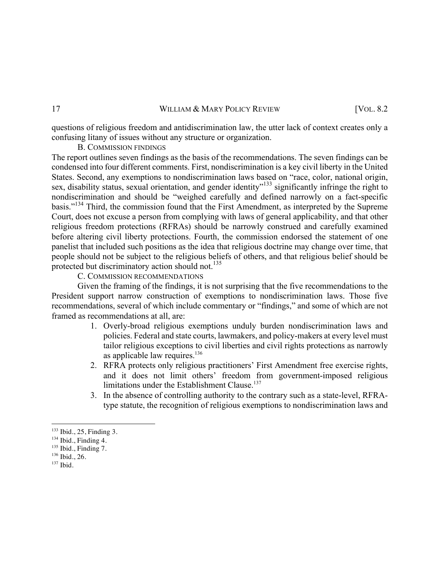questions of religious freedom and antidiscrimination law, the utter lack of context creates only a confusing litany of issues without any structure or organization.

# B. COMMISSION FINDINGS

The report outlines seven findings as the basis of the recommendations. The seven findings can be condensed into four different comments. First, nondiscrimination is a key civil liberty in the United States. Second, any exemptions to nondiscrimination laws based on "race, color, national origin, sex, disability status, sexual orientation, and gender identity<sup>"133</sup> significantly infringe the right to nondiscrimination and should be "weighed carefully and defined narrowly on a fact-specific basis."<sup>134</sup> Third, the commission found that the First Amendment, as interpreted by the Supreme Court, does not excuse a person from complying with laws of general applicability, and that other religious freedom protections (RFRAs) should be narrowly construed and carefully examined before altering civil liberty protections. Fourth, the commission endorsed the statement of one panelist that included such positions as the idea that religious doctrine may change over time, that people should not be subject to the religious beliefs of others, and that religious belief should be protected but discriminatory action should not.<sup>135</sup>

C. COMMISSION RECOMMENDATIONS

Given the framing of the findings, it is not surprising that the five recommendations to the President support narrow construction of exemptions to nondiscrimination laws. Those five recommendations, several of which include commentary or "findings," and some of which are not framed as recommendations at all, are:

- 1. Overly-broad religious exemptions unduly burden nondiscrimination laws and policies. Federal and state courts, lawmakers, and policy-makers at every level must tailor religious exceptions to civil liberties and civil rights protections as narrowly as applicable law requires. $136$
- 2. RFRA protects only religious practitioners' First Amendment free exercise rights, and it does not limit others' freedom from government-imposed religious limitations under the Establishment Clause.<sup>137</sup>
- 3. In the absence of controlling authority to the contrary such as a state-level, RFRAtype statute, the recognition of religious exemptions to nondiscrimination laws and

<sup>133</sup> Ibid*.*, 25, Finding 3. 134 Ibid., Finding 4. 135 Ibid*.*, Finding 7.

<sup>136</sup> Ibid., 26.

<sup>137</sup> Ibid*.*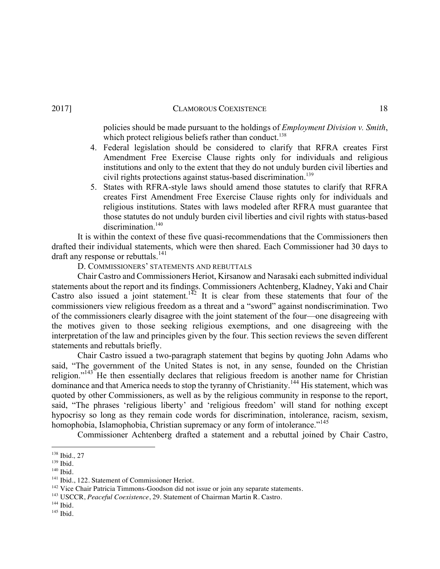policies should be made pursuant to the holdings of *Employment Division v. Smith*,

- which protect religious beliefs rather than conduct.<sup>138</sup> 4. Federal legislation should be considered to clarify that RFRA creates First Amendment Free Exercise Clause rights only for individuals and religious institutions and only to the extent that they do not unduly burden civil liberties and
- civil rights protections against status-based discrimination.<sup>139</sup> 5. States with RFRA-style laws should amend those statutes to clarify that RFRA creates First Amendment Free Exercise Clause rights only for individuals and religious institutions. States with laws modeled after RFRA must guarantee that those statutes do not unduly burden civil liberties and civil rights with status-based discrimination<sup>140</sup>

It is within the context of these five quasi-recommendations that the Commissioners then drafted their individual statements, which were then shared. Each Commissioner had 30 days to draft any response or rebuttals.<sup>141</sup>

D. COMMISSIONERS' STATEMENTS AND REBUTTALS

Chair Castro and Commissioners Heriot, Kirsanow and Narasaki each submitted individual statements about the report and its findings. Commissioners Achtenberg, Kladney, Yaki and Chair Castro also issued a joint statement.<sup>142</sup> It is clear from these statements that four of the commissioners view religious freedom as a threat and a "sword" against nondiscrimination. Two of the commissioners clearly disagree with the joint statement of the four—one disagreeing with the motives given to those seeking religious exemptions, and one disagreeing with the interpretation of the law and principles given by the four. This section reviews the seven different statements and rebuttals briefly.

Chair Castro issued a two-paragraph statement that begins by quoting John Adams who said, "The government of the United States is not, in any sense, founded on the Christian religion."<sup>143</sup> He then essentially declares that religious freedom is another name for Christian dominance and that America needs to stop the tyranny of Christianity.<sup>144</sup> His statement, which was quoted by other Commissioners, as well as by the religious community in response to the report, said, "The phrases 'religious liberty' and 'religious freedom' will stand for nothing except hypocrisy so long as they remain code words for discrimination, intolerance, racism, sexism, homophobia, Islamophobia, Christian supremacy or any form of intolerance."<sup>145</sup>

Commissioner Achtenberg drafted a statement and a rebuttal joined by Chair Castro,

<sup>138</sup> Ibid*.,* 27

<sup>139</sup> Ibid*.*

<sup>&</sup>lt;sup>140</sup> Ibid.<br><sup>141</sup> Ibid., 122. Statement of Commissioner Heriot.

 $142$  Vice Chair Patricia Timmons-Goodson did not issue or join any separate statements.

<sup>143</sup> USCCR, *Peaceful Coexistence*, 29. Statement of Chairman Martin R. Castro.

<sup>144</sup> Ibid*.*

 $^{145}$  Ibid.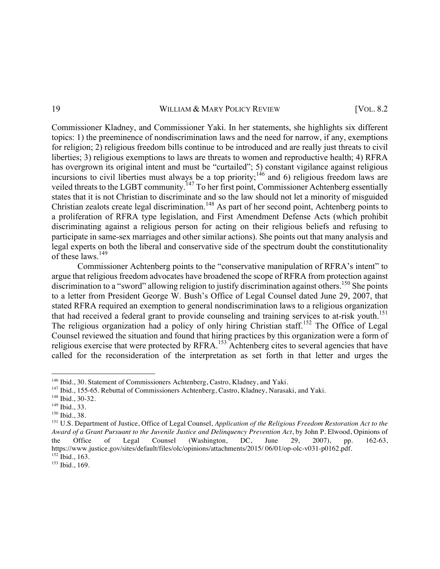Commissioner Kladney, and Commissioner Yaki. In her statements, she highlights six different topics: 1) the preeminence of nondiscrimination laws and the need for narrow, if any, exemptions for religion; 2) religious freedom bills continue to be introduced and are really just threats to civil liberties; 3) religious exemptions to laws are threats to women and reproductive health; 4) RFRA has overgrown its original intent and must be "curtailed"; 5) constant vigilance against religious incursions to civil liberties must always be a top priority;<sup>146</sup> and 6) religious freedom laws are veiled threats to the LGBT community.<sup>147</sup> To her first point, Commissioner Achtenberg essentially states that it is not Christian to discriminate and so the law should not let a minority of misguided Christian zealots create legal discrimination.<sup>148</sup> As part of her second point, Achtenberg points to a proliferation of RFRA type legislation, and First Amendment Defense Acts (which prohibit discriminating against a religious person for acting on their religious beliefs and refusing to participate in same-sex marriages and other similar actions). She points out that many analysis and legal experts on both the liberal and conservative side of the spectrum doubt the constitutionality of these laws  $^{149}$ 

Commissioner Achtenberg points to the "conservative manipulation of RFRA's intent" to argue that religious freedom advocates have broadened the scope of RFRA from protection against discrimination to a "sword" allowing religion to justify discrimination against others.<sup>150</sup> She points to a letter from President George W. Bush's Office of Legal Counsel dated June 29, 2007, that stated RFRA required an exemption to general nondiscrimination laws to a religious organization that had received a federal grant to provide counseling and training services to at-risk youth.<sup>151</sup> The religious organization had a policy of only hiring Christian staff.<sup>152</sup> The Office of Legal Counsel reviewed the situation and found that hiring practices by this organization were a form of religious exercise that were protected by RFRA.<sup>153</sup> Achtenberg cites to several agencies that have called for the reconsideration of the interpretation as set forth in that letter and urges the

<sup>&</sup>lt;sup>146</sup> Ibid., 30. Statement of Commissioners Achtenberg, Castro, Kladney, and Yaki.<br><sup>147</sup> Ibid., 155-65. Rebuttal of Commissioners Achtenberg, Castro, Kladney, Narasaki, and Yaki.<br><sup>148</sup> Ibid., 30-32.

<sup>&</sup>lt;sup>149</sup> Ibid., 33.<br><sup>150</sup> Ibid., 38.<br><sup>151</sup> U.S. Department of Justice, Office of Legal Counsel, *Application of the Religious Freedom Restoration Act to the Award of a Grant Pursuant to the Juvenile Justice and Delinquency Prevention Act*, by John P. Elwood, Opinions of the Office of Legal Counsel (Washington, DC, June 29, 2007), pp. 162-63, https://www.justice.gov/sites/default/files/olc/opinions/attachments/2015/ 06/01/op-olc-v031-p0162.pdf. 152 Ibid*.*, 163.

<sup>153</sup> Ibid*.*, 169.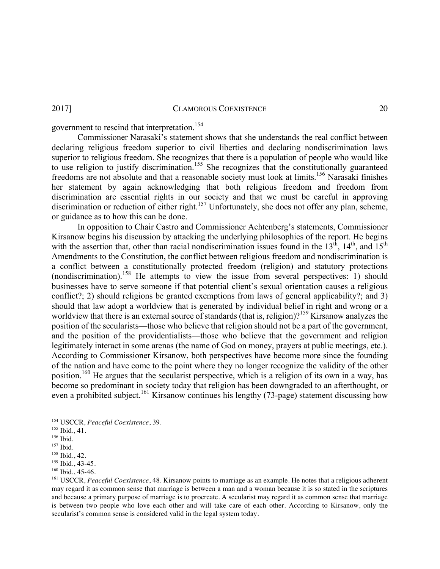government to rescind that interpretation.<sup>154</sup>

Commissioner Narasaki's statement shows that she understands the real conflict between declaring religious freedom superior to civil liberties and declaring nondiscrimination laws superior to religious freedom. She recognizes that there is a population of people who would like to use religion to justify discrimination.<sup>155</sup> She recognizes that the constitutionally guaranteed freedoms are not absolute and that a reasonable society must look at limits.156 Narasaki finishes her statement by again acknowledging that both religious freedom and freedom from discrimination are essential rights in our society and that we must be careful in approving discrimination or reduction of either right.<sup>157</sup> Unfortunately, she does not offer any plan, scheme, or guidance as to how this can be done.

In opposition to Chair Castro and Commissioner Achtenberg's statements, Commissioner Kirsanow begins his discussion by attacking the underlying philosophies of the report. He begins with the assertion that, other than racial nondiscrimination issues found in the 13<sup>th</sup>, 14<sup>th</sup>, and  $15<sup>th</sup>$ Amendments to the Constitution, the conflict between religious freedom and nondiscrimination is a conflict between a constitutionally protected freedom (religion) and statutory protections (nondiscrimination).<sup>158</sup> He attempts to view the issue from several perspectives: 1) should businesses have to serve someone if that potential client's sexual orientation causes a religious conflict?; 2) should religions be granted exemptions from laws of general applicability?; and 3) should that law adopt a worldview that is generated by individual belief in right and wrong or a worldview that there is an external source of standards (that is, religion)?<sup>159</sup> Kirsanow analyzes the position of the secularists—those who believe that religion should not be a part of the government, and the position of the providentialists—those who believe that the government and religion legitimately interact in some arenas (the name of God on money, prayers at public meetings, etc.). According to Commissioner Kirsanow, both perspectives have become more since the founding of the nation and have come to the point where they no longer recognize the validity of the other position.<sup>160</sup> He argues that the secularist perspective, which is a religion of its own in a way, has become so predominant in society today that religion has been downgraded to an afterthought, or even a prohibited subject.<sup>161</sup> Kirsanow continues his lengthy (73-page) statement discussing how

<sup>&</sup>lt;u> 1989 - Johann Barn, mars ann an t-Amhain an t-Amhain an t-Amhain an t-Amhain an t-Amhain an t-Amhain an t-Amh</u> <sup>154</sup> USCCR, *Peaceful Coexistence*, 39. 155 Ibid*.,* 41. 156 Ibid*.*

<sup>&</sup>lt;sup>157</sup> Ibid.<br><sup>158</sup> Ibid., 42.

<sup>&</sup>lt;sup>159</sup> Ibid., 43-45.<br><sup>160</sup> Ibid., 45-46.

<sup>&</sup>lt;sup>161</sup> USCCR, Peaceful Coexistence, 48. Kirsanow points to marriage as an example. He notes that a religious adherent may regard it as common sense that marriage is between a man and a woman because it is so stated in the scriptures and because a primary purpose of marriage is to procreate. A secularist may regard it as common sense that marriage is between two people who love each other and will take care of each other. According to Kirsanow, only the secularist's common sense is considered valid in the legal system today.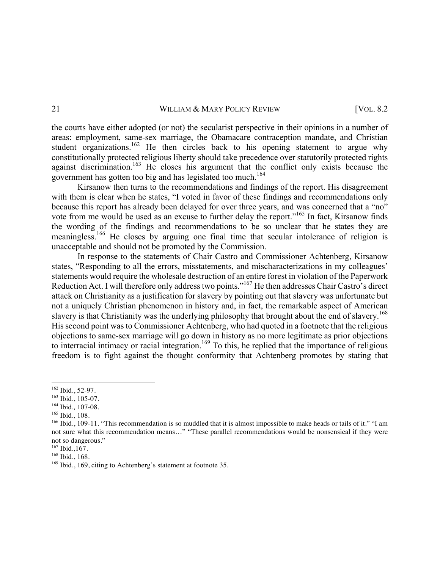the courts have either adopted (or not) the secularist perspective in their opinions in a number of areas: employment, same-sex marriage, the Obamacare contraception mandate, and Christian student organizations.<sup>162</sup> He then circles back to his opening statement to argue why constitutionally protected religious liberty should take precedence over statutorily protected rights against discrimination.<sup>163</sup> He closes his argument that the conflict only exists because the government has gotten too big and has legislated too much.<sup>164</sup>

Kirsanow then turns to the recommendations and findings of the report. His disagreement with them is clear when he states, "I voted in favor of these findings and recommendations only because this report has already been delayed for over three years, and was concerned that a "no" vote from me would be used as an excuse to further delay the report."165 In fact, Kirsanow finds the wording of the findings and recommendations to be so unclear that he states they are meaningless.<sup>166</sup> He closes by arguing one final time that secular intolerance of religion is unacceptable and should not be promoted by the Commission.

In response to the statements of Chair Castro and Commissioner Achtenberg, Kirsanow states, "Responding to all the errors, misstatements, and mischaracterizations in my colleagues' statements would require the wholesale destruction of an entire forest in violation of the Paperwork Reduction Act. I will therefore only address two points."167 He then addresses Chair Castro's direct attack on Christianity as a justification for slavery by pointing out that slavery was unfortunate but not a uniquely Christian phenomenon in history and, in fact, the remarkable aspect of American slavery is that Christianity was the underlying philosophy that brought about the end of slavery.<sup>168</sup> His second point was to Commissioner Achtenberg, who had quoted in a footnote that the religious objections to same-sex marriage will go down in history as no more legitimate as prior objections to interracial intimacy or racial integration.<sup>169</sup> To this, he replied that the importance of religious freedom is to fight against the thought conformity that Achtenberg promotes by stating that

 

<sup>162</sup> Ibid*.*, 52-97. 163 Ibid*.*, 105-07. 164 Ibid*.,* 107-08.

<sup>&</sup>lt;sup>166</sup> Ibid., 109-11. "This recommendation is so muddled that it is almost impossible to make heads or tails of it." "I am not sure what this recommendation means…" "These parallel recommendations would be nonsensical if they were not so dangerous."<br><sup>167</sup> Ibid..167.

<sup>&</sup>lt;sup>168</sup> Ibid., 168.<br><sup>169</sup> Ibid., 169, citing to Achtenberg's statement at footnote 35.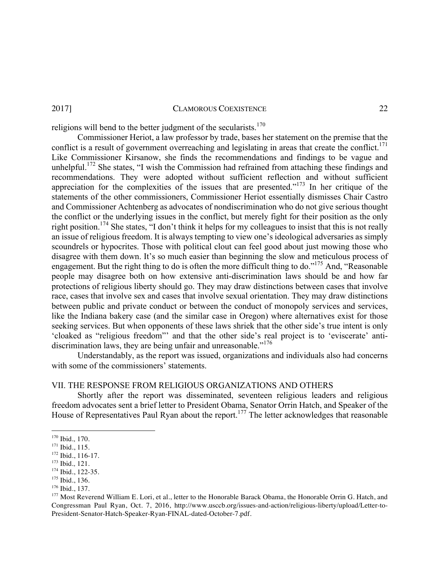religions will bend to the better judgment of the secularists.<sup>170</sup>

Commissioner Heriot, a law professor by trade, bases her statement on the premise that the conflict is a result of government overreaching and legislating in areas that create the conflict.<sup>171</sup> Like Commissioner Kirsanow, she finds the recommendations and findings to be vague and unhelpful.<sup>172</sup> She states, "I wish the Commission had refrained from attaching these findings and recommendations. They were adopted without sufficient reflection and without sufficient appreciation for the complexities of the issues that are presented."<sup>173</sup> In her critique of the statements of the other commissioners, Commissioner Heriot essentially dismisses Chair Castro and Commissioner Achtenberg as advocates of nondiscrimination who do not give serious thought the conflict or the underlying issues in the conflict, but merely fight for their position as the only right position.<sup>174</sup> She states, "I don't think it helps for my colleagues to insist that this is not really an issue of religious freedom. It is always tempting to view one's ideological adversaries as simply scoundrels or hypocrites. Those with political clout can feel good about just mowing those who disagree with them down. It's so much easier than beginning the slow and meticulous process of engagement. But the right thing to do is often the more difficult thing to do."175 And, "Reasonable people may disagree both on how extensive anti-discrimination laws should be and how far protections of religious liberty should go. They may draw distinctions between cases that involve race, cases that involve sex and cases that involve sexual orientation. They may draw distinctions between public and private conduct or between the conduct of monopoly services and services, like the Indiana bakery case (and the similar case in Oregon) where alternatives exist for those seeking services. But when opponents of these laws shriek that the other side's true intent is only 'cloaked as "religious freedom"' and that the other side's real project is to 'eviscerate' antidiscrimination laws, they are being unfair and unreasonable."<sup>176</sup>

Understandably, as the report was issued, organizations and individuals also had concerns with some of the commissioners' statements.

# VII. THE RESPONSE FROM RELIGIOUS ORGANIZATIONS AND OTHERS

Shortly after the report was disseminated, seventeen religious leaders and religious freedom advocates sent a brief letter to President Obama, Senator Orrin Hatch, and Speaker of the House of Representatives Paul Ryan about the report.<sup>177</sup> The letter acknowledges that reasonable

<sup>&</sup>lt;sup>170</sup> Ibid., 170.<br><sup>171</sup> Ibid., 115.

<sup>&</sup>lt;sup>172</sup> Ibid., 116-17.<br><sup>173</sup> Ibid., 121.<br><sup>174</sup> Ibid., 122-35.<br><sup>176</sup> Ibid., 136.<br><sup>176</sup> Ibid., 137.<br><sup>176</sup> Ibid., 137. Congressman Paul Ryan, Oct. 7, 2016, http://www.usccb.org/issues-and-action/religious-liberty/upload/Letter-to-President-Senator-Hatch-Speaker-Ryan-FINAL-dated-October-7.pdf.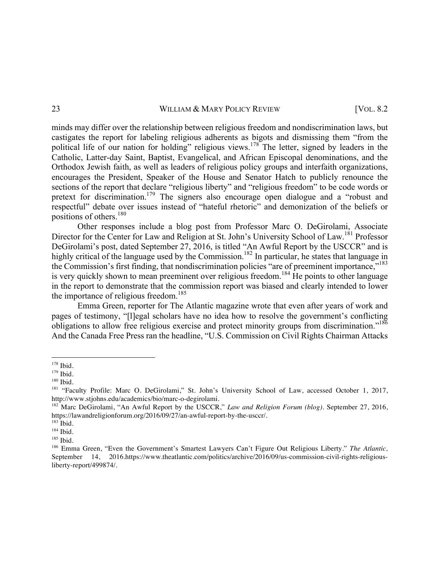minds may differ over the relationship between religious freedom and nondiscrimination laws, but castigates the report for labeling religious adherents as bigots and dismissing them "from the political life of our nation for holding" religious views.<sup>178</sup> The letter, signed by leaders in the Catholic, Latter-day Saint, Baptist, Evangelical, and African Episcopal denominations, and the Orthodox Jewish faith, as well as leaders of religious policy groups and interfaith organizations, encourages the President, Speaker of the House and Senator Hatch to publicly renounce the sections of the report that declare "religious liberty" and "religious freedom" to be code words or pretext for discrimination.<sup>179</sup> The signers also encourage open dialogue and a "robust and respectful" debate over issues instead of "hateful rhetoric" and demonization of the beliefs or positions of others.<sup>180</sup>

Other responses include a blog post from Professor Marc O. DeGirolami, Associate Director for the Center for Law and Religion at St. John's University School of Law.<sup>181</sup> Professor DeGirolami's post, dated September 27, 2016, is titled "An Awful Report by the USCCR" and is highly critical of the language used by the Commission.<sup>182</sup> In particular, he states that language in the Commission's first finding, that nondiscrimination policies "are of preeminent importance,"<sup>183</sup> is very quickly shown to mean preeminent over religious freedom.<sup>184</sup> He points to other language in the report to demonstrate that the commission report was biased and clearly intended to lower the importance of religious freedom.<sup>185</sup>

Emma Green, reporter for The Atlantic magazine wrote that even after years of work and pages of testimony, "[l]egal scholars have no idea how to resolve the government's conflicting obligations to allow free religious exercise and protect minority groups from discrimination."<sup>186</sup> And the Canada Free Press ran the headline, "U.S. Commission on Civil Rights Chairman Attacks

<sup>&</sup>lt;u> 1989 - Johann Barn, mars ann an t-Amhain an t-Amhain an t-Amhain an t-Amhain an t-Amhain an t-Amhain an t-Amh</u> <sup>178</sup> Ibid*.*

<sup>179</sup> Ibid*.*

<sup>180</sup> Ibid*.*

<sup>&</sup>lt;sup>181</sup> "Faculty Profile: Marc O. DeGirolami," St. John's University School of Law, accessed October 1, 2017, http://www.stjohns.edu/academics/bio/marc-o-degirolami.

<sup>&</sup>lt;sup>182</sup> Marc DeGirolami, "An Awful Report by the USCCR," *Law and Religion Forum (blog)*. September 27, 2016, https://lawandreligionforum.org/2016/09/27/an-awful-report-by-the-usccr/. 183 Ibid*.*

<sup>184</sup> Ibid*.*

<sup>185</sup> Ibid*.*

<sup>186</sup> Emma Green, "Even the Government's Smartest Lawyers Can't Figure Out Religious Liberty." *The Atlantic,*  September 14, 2016.https://www.theatlantic.com/politics/archive/2016/09/us-commission-civil-rights-religiousliberty-report/499874/.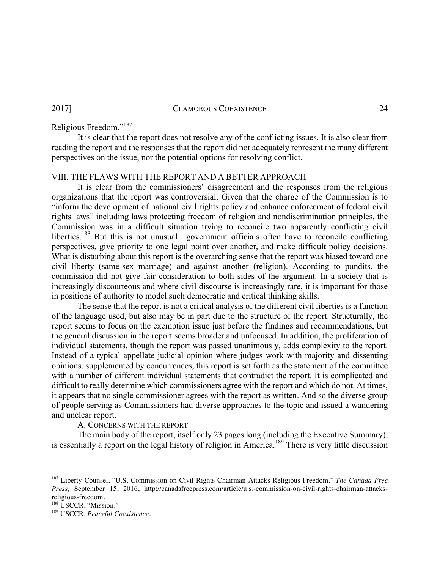# Religious Freedom."<sup>187</sup>

It is clear that the report does not resolve any of the conflicting issues. It is also clear from reading the report and the responses that the report did not adequately represent the many different perspectives on the issue, nor the potential options for resolving conflict.

# VIII. THE FLAWS WITH THE REPORT AND A BETTER APPROACH

It is clear from the commissioners' disagreement and the responses from the religious organizations that the report was controversial. Given that the charge of the Commission is to "inform the development of national civil rights policy and enhance enforcement of federal civil rights laws" including laws protecting freedom of religion and nondiscrimination principles, the Commission was in a difficult situation trying to reconcile two apparently conflicting civil liberties.<sup>188</sup> But this is not unusual—government officials often have to reconcile conflicting perspectives, give priority to one legal point over another, and make difficult policy decisions. What is disturbing about this report is the overarching sense that the report was biased toward one civil liberty (same-sex marriage) and against another (religion). According to pundits, the commission did not give fair consideration to both sides of the argument. In a society that is increasingly discourteous and where civil discourse is increasingly rare, it is important for those in positions of authority to model such democratic and critical thinking skills.

The sense that the report is not a critical analysis of the different civil liberties is a function of the language used, but also may be in part due to the structure of the report. Structurally, the report seems to focus on the exemption issue just before the findings and recommendations, but the general discussion in the report seems broader and unfocused. In addition, the proliferation of individual statements, though the report was passed unanimously, adds complexity to the report. Instead of a typical appellate judicial opinion where judges work with majority and dissenting opinions, supplemented by concurrences, this report is set forth as the statement of the committee with a number of different individual statements that contradict the report. It is complicated and difficult to really determine which commissioners agree with the report and which do not. At times, it appears that no single commissioner agrees with the report as written. And so the diverse group of people serving as Commissioners had diverse approaches to the topic and issued a wandering and unclear report.

A. CONCERNS WITH THE REPORT

The main body of the report, itself only 23 pages long (including the Executive Summary), is essentially a report on the legal history of religion in America.<sup>189</sup> There is very little discussion

<sup>187</sup> Liberty Counsel, "U.S. Commission on Civil Rights Chairman Attacks Religious Freedom." *The Canada Free Press,* September 15, 2016, http://canadafreepress.com/article/u.s.-commission-on-civil-rights-chairman-attacksreligious-freedom.<br><sup>188</sup> USCCR, "Mission."

<sup>189</sup> USCCR, *Peaceful Coexistence.*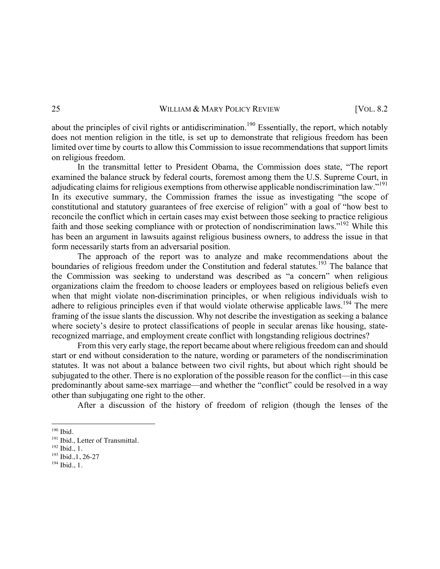about the principles of civil rights or antidiscrimination.<sup>190</sup> Essentially, the report, which notably does not mention religion in the title, is set up to demonstrate that religious freedom has been limited over time by courts to allow this Commission to issue recommendations that support limits on religious freedom.

In the transmittal letter to President Obama, the Commission does state, "The report examined the balance struck by federal courts, foremost among them the U.S. Supreme Court, in adjudicating claims for religious exemptions from otherwise applicable nondiscrimination law."<sup>191</sup> In its executive summary, the Commission frames the issue as investigating "the scope of constitutional and statutory guarantees of free exercise of religion" with a goal of "how best to reconcile the conflict which in certain cases may exist between those seeking to practice religious faith and those seeking compliance with or protection of nondiscrimination laws."<sup>192</sup> While this has been an argument in lawsuits against religious business owners, to address the issue in that form necessarily starts from an adversarial position.

The approach of the report was to analyze and make recommendations about the boundaries of religious freedom under the Constitution and federal statutes.<sup>193</sup> The balance that the Commission was seeking to understand was described as "a concern" when religious organizations claim the freedom to choose leaders or employees based on religious beliefs even when that might violate non-discrimination principles, or when religious individuals wish to adhere to religious principles even if that would violate otherwise applicable laws.<sup>194</sup> The mere framing of the issue slants the discussion. Why not describe the investigation as seeking a balance where society's desire to protect classifications of people in secular arenas like housing, staterecognized marriage, and employment create conflict with longstanding religious doctrines?

From this very early stage, the report became about where religious freedom can and should start or end without consideration to the nature, wording or parameters of the nondiscrimination statutes. It was not about a balance between two civil rights, but about which right should be subjugated to the other. There is no exploration of the possible reason for the conflict—in this case predominantly about same-sex marriage—and whether the "conflict" could be resolved in a way other than subjugating one right to the other.

After a discussion of the history of freedom of religion (though the lenses of the

<sup>190</sup> Ibid*.*

<sup>191</sup> Ibid*.,* Letter of Transmittal. 192 Ibid*.,* 1.

<sup>193</sup> Ibid*.,*1, 26-27

<sup>194</sup> Ibid*.*, 1.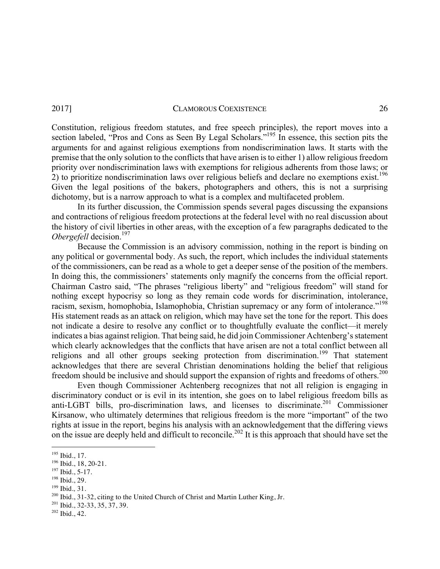Constitution, religious freedom statutes, and free speech principles), the report moves into a section labeled, "Pros and Cons as Seen By Legal Scholars."<sup>195</sup> In essence, this section pits the arguments for and against religious exemptions from nondiscrimination laws. It starts with the premise that the only solution to the conflicts that have arisen is to either 1) allow religious freedom priority over nondiscrimination laws with exemptions for religious adherents from those laws; or 2) to prioritize nondiscrimination laws over religious beliefs and declare no exemptions exist.<sup>196</sup> Given the legal positions of the bakers, photographers and others, this is not a surprising dichotomy, but is a narrow approach to what is a complex and multifaceted problem.

In its further discussion, the Commission spends several pages discussing the expansions and contractions of religious freedom protections at the federal level with no real discussion about the history of civil liberties in other areas, with the exception of a few paragraphs dedicated to the *Obergefell* decision.<sup>197</sup>

Because the Commission is an advisory commission, nothing in the report is binding on any political or governmental body. As such, the report, which includes the individual statements of the commissioners, can be read as a whole to get a deeper sense of the position of the members. In doing this, the commissioners' statements only magnify the concerns from the official report. Chairman Castro said, "The phrases "religious liberty" and "religious freedom" will stand for nothing except hypocrisy so long as they remain code words for discrimination, intolerance, racism, sexism, homophobia, Islamophobia, Christian supremacy or any form of intolerance."<sup>198</sup> His statement reads as an attack on religion, which may have set the tone for the report. This does not indicate a desire to resolve any conflict or to thoughtfully evaluate the conflict—it merely indicates a bias against religion. That being said, he did join Commissioner Achtenberg's statement which clearly acknowledges that the conflicts that have arisen are not a total conflict between all religions and all other groups seeking protection from discrimination.<sup>199</sup> That statement acknowledges that there are several Christian denominations holding the belief that religious freedom should be inclusive and should support the expansion of rights and freedoms of others.<sup>200</sup>

Even though Commissioner Achtenberg recognizes that not all religion is engaging in discriminatory conduct or is evil in its intention, she goes on to label religious freedom bills as anti-LGBT bills, pro-discrimination laws, and licenses to discriminate.<sup>201</sup> Commissioner Kirsanow, who ultimately determines that religious freedom is the more "important" of the two rights at issue in the report, begins his analysis with an acknowledgement that the differing views on the issue are deeply held and difficult to reconcile.<sup>202</sup> It is this approach that should have set the

<sup>&</sup>lt;sup>195</sup> Ibid., 17.<br><sup>196</sup> Ibid., 18, 20-21.

 $^{197}$  Ibid., 5-17.<br> $^{198}$  Ibid., 29.

<sup>&</sup>lt;sup>199</sup> Ibid., 31.<br><sup>200</sup> Ibid., 31-32, citing to the United Church of Christ and Martin Luther King, Jr.<br><sup>201</sup> Ibid., 32-33, 35, 37, 39.

<sup>202</sup> Ibid., 42.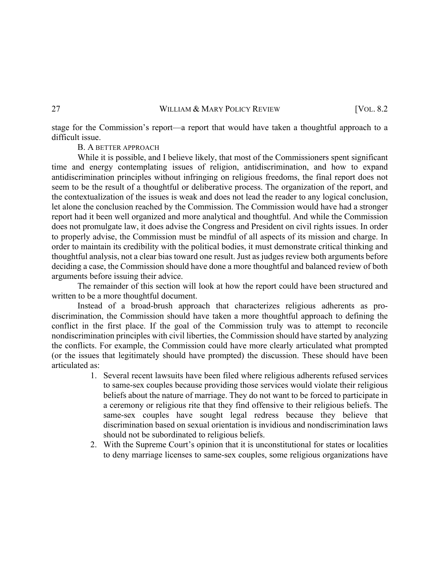stage for the Commission's report—a report that would have taken a thoughtful approach to a difficult issue.

B. A BETTER APPROACH

While it is possible, and I believe likely, that most of the Commissioners spent significant time and energy contemplating issues of religion, antidiscrimination, and how to expand antidiscrimination principles without infringing on religious freedoms, the final report does not seem to be the result of a thoughtful or deliberative process. The organization of the report, and the contextualization of the issues is weak and does not lead the reader to any logical conclusion, let alone the conclusion reached by the Commission. The Commission would have had a stronger report had it been well organized and more analytical and thoughtful. And while the Commission does not promulgate law, it does advise the Congress and President on civil rights issues. In order to properly advise, the Commission must be mindful of all aspects of its mission and charge. In order to maintain its credibility with the political bodies, it must demonstrate critical thinking and thoughtful analysis, not a clear bias toward one result. Just as judges review both arguments before deciding a case, the Commission should have done a more thoughtful and balanced review of both arguments before issuing their advice.

The remainder of this section will look at how the report could have been structured and written to be a more thoughtful document.

Instead of a broad-brush approach that characterizes religious adherents as prodiscrimination, the Commission should have taken a more thoughtful approach to defining the conflict in the first place. If the goal of the Commission truly was to attempt to reconcile nondiscrimination principles with civil liberties, the Commission should have started by analyzing the conflicts. For example, the Commission could have more clearly articulated what prompted (or the issues that legitimately should have prompted) the discussion. These should have been articulated as:

- 1. Several recent lawsuits have been filed where religious adherents refused services to same-sex couples because providing those services would violate their religious beliefs about the nature of marriage. They do not want to be forced to participate in a ceremony or religious rite that they find offensive to their religious beliefs. The same-sex couples have sought legal redress because they believe that discrimination based on sexual orientation is invidious and nondiscrimination laws should not be subordinated to religious beliefs.
- 2. With the Supreme Court's opinion that it is unconstitutional for states or localities to deny marriage licenses to same-sex couples, some religious organizations have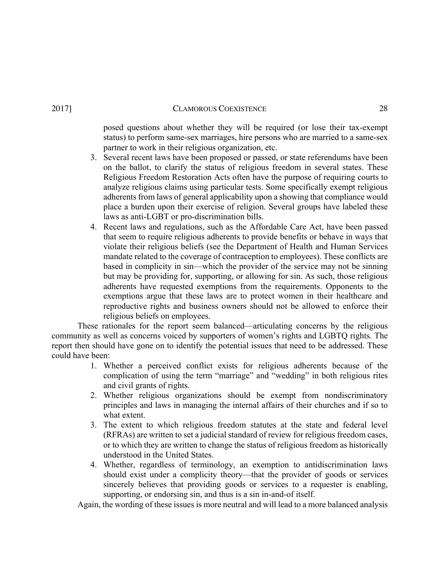posed questions about whether they will be required (or lose their tax-exempt status) to perform same-sex marriages, hire persons who are married to a same-sex partner to work in their religious organization, etc.

- 3. Several recent laws have been proposed or passed, or state referendums have been on the ballot, to clarify the status of religious freedom in several states. These Religious Freedom Restoration Acts often have the purpose of requiring courts to analyze religious claims using particular tests. Some specifically exempt religious adherents from laws of general applicability upon a showing that compliance would place a burden upon their exercise of religion. Several groups have labeled these laws as anti-LGBT or pro-discrimination bills.
- 4. Recent laws and regulations, such as the Affordable Care Act, have been passed that seem to require religious adherents to provide benefits or behave in ways that violate their religious beliefs (see the Department of Health and Human Services mandate related to the coverage of contraception to employees). These conflicts are based in complicity in sin—which the provider of the service may not be sinning but may be providing for, supporting, or allowing for sin. As such, those religious adherents have requested exemptions from the requirements. Opponents to the exemptions argue that these laws are to protect women in their healthcare and reproductive rights and business owners should not be allowed to enforce their religious beliefs on employees.

These rationales for the report seem balanced—articulating concerns by the religious community as well as concerns voiced by supporters of women's rights and LGBTQ rights. The report then should have gone on to identify the potential issues that need to be addressed. These could have been:

- 1. Whether a perceived conflict exists for religious adherents because of the complication of using the term "marriage" and "wedding" in both religious rites and civil grants of rights.
- 2. Whether religious organizations should be exempt from nondiscriminatory principles and laws in managing the internal affairs of their churches and if so to what extent.
- 3. The extent to which religious freedom statutes at the state and federal level (RFRAs) are written to set a judicial standard of review for religious freedom cases, or to which they are written to change the status of religious freedom as historically understood in the United States.
- 4. Whether, regardless of terminology, an exemption to antidiscrimination laws should exist under a complicity theory—that the provider of goods or services sincerely believes that providing goods or services to a requester is enabling, supporting, or endorsing sin, and thus is a sin in-and-of itself.

Again, the wording of these issues is more neutral and will lead to a more balanced analysis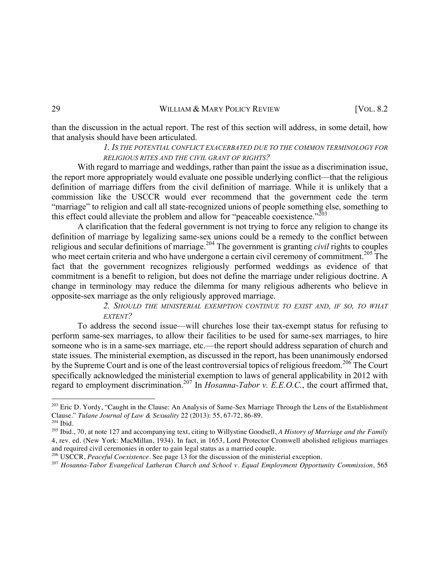than the discussion in the actual report. The rest of this section will address, in some detail, how that analysis should have been articulated.

# *1. IS THE POTENTIAL CONFLICT EXACERBATED DUE TO THE COMMON TERMINOLOGY FOR RELIGIOUS RITES AND THE CIVIL GRANT OF RIGHTS?*

With regard to marriage and weddings, rather than paint the issue as a discrimination issue, the report more appropriately would evaluate one possible underlying conflict—that the religious definition of marriage differs from the civil definition of marriage. While it is unlikely that a commission like the USCCR would ever recommend that the government cede the term "marriage" to religion and call all state-recognized unions of people something else, something to this effect could alleviate the problem and allow for "peaceable coexistence." $^{203}$ 

A clarification that the federal government is not trying to force any religion to change its definition of marriage by legalizing same-sex unions could be a remedy to the conflict between religious and secular definitions of marriage.<sup>204</sup> The government is granting *civil* rights to couples who meet certain criteria and who have undergone a certain civil ceremony of commitment.<sup>205</sup> The fact that the government recognizes religiously performed weddings as evidence of that commitment is a benefit to religion, but does not define the marriage under religious doctrine. A change in terminology may reduce the dilemma for many religious adherents who believe in opposite-sex marriage as the only religiously approved marriage.

> *2. SHOULD THE MINISTERIAL EXEMPTION CONTINUE TO EXIST AND, IF SO, TO WHAT EXTENT?*

To address the second issue—will churches lose their tax-exempt status for refusing to perform same-sex marriages, to allow their facilities to be used for same-sex marriages, to hire someone who is in a same-sex marriage, etc.—the report should address separation of church and state issues. The ministerial exemption, as discussed in the report, has been unanimously endorsed by the Supreme Court and is one of the least controversial topics of religious freedom.<sup>206</sup> The Court specifically acknowledged the ministerial exemption to laws of general applicability in 2012 with regard to employment discrimination.<sup>207</sup> In *Hosanna-Tabor v. E.E.O.C.*, the court affirmed that,

<sup>&</sup>lt;sup>203</sup> Eric D. Yordy, "Caught in the Clause: An Analysis of Same-Sex Marriage Through the Lens of the Establishment Clause." *Tulane Journal of Law & Sexuality* 22 (2013): 55, 67-72, 86-89. 204 Ibid*.*

<sup>205</sup> Ibid., 70, at note 127 and accompanying text, citing to Willystine Goodsell, *A History of Marriage and the Family* 4, rev. ed. (New York: MacMillan, 1934). In fact, in 1653, Lord Protector Cromwell abolished religious marriages and required civil ceremonies in order to gain legal status as a married couple. 206 USCCR, *Peaceful Coexistence*. See page 13 for the discussion of the ministerial exception.

<sup>207</sup> *Hosanna-Tabor Evangelical Lutheran Church and School v. Equal Employment Opportunity Commission*, 565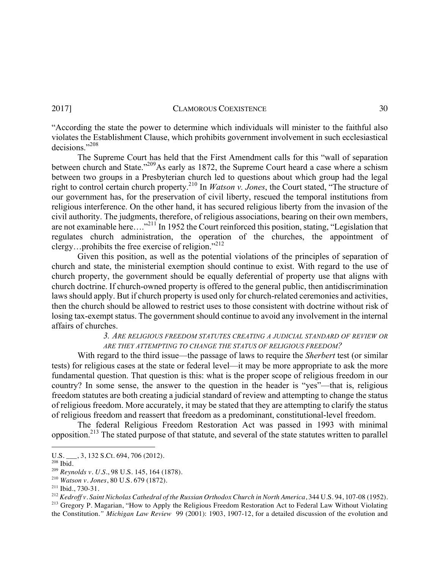"According the state the power to determine which individuals will minister to the faithful also violates the Establishment Clause, which prohibits government involvement in such ecclesiastical decisions<sup>"208</sup>

The Supreme Court has held that the First Amendment calls for this "wall of separation between church and State."<sup>209</sup>As early as 1872, the Supreme Court heard a case where a schism between two groups in a Presbyterian church led to questions about which group had the legal right to control certain church property.210 In *Watson v. Jones*, the Court stated, "The structure of our government has, for the preservation of civil liberty, rescued the temporal institutions from religious interference. On the other hand, it has secured religious liberty from the invasion of the civil authority. The judgments, therefore, of religious associations, bearing on their own members, are not examinable here…."<sup>211</sup> In 1952 the Court reinforced this position, stating, "Legislation that regulates church administration, the operation of the churches, the appointment of clergy...prohibits the free exercise of religion."<sup>212</sup>

Given this position, as well as the potential violations of the principles of separation of church and state, the ministerial exemption should continue to exist. With regard to the use of church property, the government should be equally deferential of property use that aligns with church doctrine. If church-owned property is offered to the general public, then antidiscrimination laws should apply. But if church property is used only for church-related ceremonies and activities, then the church should be allowed to restrict uses to those consistent with doctrine without risk of losing tax-exempt status. The government should continue to avoid any involvement in the internal affairs of churches.

# *3. ARE RELIGIOUS FREEDOM STATUTES CREATING A JUDICIAL STANDARD OF REVIEW OR ARE THEY ATTEMPTING TO CHANGE THE STATUS OF RELIGIOUS FREEDOM?*

With regard to the third issue—the passage of laws to require the *Sherbert* test (or similar tests) for religious cases at the state or federal level—it may be more appropriate to ask the more fundamental question. That question is this: what is the proper scope of religious freedom in our country? In some sense, the answer to the question in the header is "yes"—that is, religious freedom statutes are both creating a judicial standard of review and attempting to change the status of religious freedom. More accurately, it may be stated that they are attempting to clarify the status of religious freedom and reassert that freedom as a predominant, constitutional-level freedom.

The federal Religious Freedom Restoration Act was passed in 1993 with minimal opposition.<sup>213</sup> The stated purpose of that statute, and several of the state statutes written to parallel

<sup>&</sup>lt;u> 1989 - Johann Barn, mars ann an t-Amhain an t-Amhain an t-Amhain an t-Amhain an t-Amhain an t-Amhain an t-Amh</u> U.S. \_\_\_, 3, 132 S.Ct. 694, 706 (2012).

<sup>&</sup>lt;sup>208</sup> Ibid.<br><sup>209</sup> Reynolds v. U.S., 98 U.S. 145, 164 (1878).

<sup>&</sup>lt;sup>210</sup> *Watson v. Jones*, 80 U.S. 679 (1872).<br><sup>211</sup> Ibid., 730-31.

<sup>&</sup>lt;sup>212</sup> Kedroff v. Saint Nicholas Cathedral of the Russian Orthodox Church in North America, 344 U.S. 94, 107-08 (1952).<br><sup>213</sup> Gregory P. Magarian, "How to Apply the Religious Freedom Restoration Act to Federal Law Without

the Constitution*." Michigan Law Review* 99 (2001): 1903, 1907-12, for a detailed discussion of the evolution and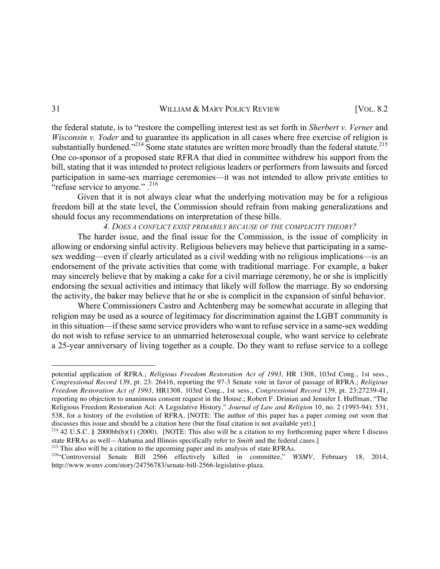the federal statute, is to "restore the compelling interest test as set forth in *Sherbert v. Verner* and *Wisconsin v. Yoder* and to guarantee its application in all cases where free exercise of religion is substantially burdened."<sup>214</sup> Some state statutes are written more broadly than the federal statute.<sup>215</sup> One co-sponsor of a proposed state RFRA that died in committee withdrew his support from the bill, stating that it was intended to protect religious leaders or performers from lawsuits and forced participation in same-sex marriage ceremonies—it was not intended to allow private entities to "refuse service to anyone." $.^216$ 

Given that it is not always clear what the underlying motivation may be for a religious freedom bill at the state level, the Commission should refrain from making generalizations and should focus any recommendations on interpretation of these bills.

# *4. DOES A CONFLICT EXIST PRIMARILY BECAUSE OF THE COMPLICITY THEORY?*

The harder issue, and the final issue for the Commission, is the issue of complicity in allowing or endorsing sinful activity. Religious believers may believe that participating in a samesex wedding—even if clearly articulated as a civil wedding with no religious implications—is an endorsement of the private activities that come with traditional marriage. For example, a baker may sincerely believe that by making a cake for a civil marriage ceremony, he or she is implicitly endorsing the sexual activities and intimacy that likely will follow the marriage. By so endorsing the activity, the baker may believe that he or she is complicit in the expansion of sinful behavior.

Where Commissioners Castro and Achtenberg may be somewhat accurate in alleging that religion may be used as a source of legitimacy for discrimination against the LGBT community is in this situation—if these same service providers who want to refuse service in a same-sex wedding do not wish to refuse service to an unmarried heterosexual couple, who want service to celebrate a 25-year anniversary of living together as a couple. Do they want to refuse service to a college

potential application of RFRA.; *Religious Freedom Restoration Act of 1993,* HR 1308, 103rd Cong., 1st sess., *Congressional Record* 139, pt. 23: 26416, reporting the 97-3 Senate vote in favor of passage of RFRA.; *Religious Freedom Restoration Act of 1993,* HR1308, 103rd Cong., 1st sess., *Congressional Record* 139, pt. 23:27239-41, reporting no objection to unanimous consent request in the House.; Robert F. Drinian and Jennifer I. Huffman, "The Religious Freedom Restoration Act: A Legislative History." *Journal of Law and Religion* 10, no. 2 (1993-94): 531, 538, for a history of the evolution of RFRA. [NOTE: The author of this paper has a paper coming out soon that discusses this issue and should be a citation here (but the final citation is not available yet).]

<sup>&</sup>lt;sup>214</sup> 42 U.S.C. § 2000bb(b)(1) (2000). [NOTE: This also will be a citation to my forthcoming paper where I discuss state RFRAs as well—Alabama and Illinois specifically refer to *Smith* and the federal cases.]

<sup>&</sup>lt;sup>215</sup> This also will be a citation to the upcoming paper and its analysis of state RFRAs.<br><sup>216</sup> Controversial Senate Bill 2566 effectively killed in committee," *WSMV*, February 18, 2014, http://www.wsmv.com/story/24756783/senate-bill-2566-legislative-plaza.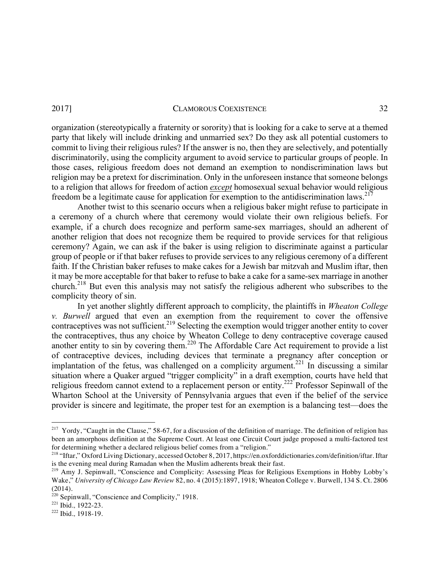organization (stereotypically a fraternity or sorority) that is looking for a cake to serve at a themed party that likely will include drinking and unmarried sex? Do they ask all potential customers to commit to living their religious rules? If the answer is no, then they are selectively, and potentially discriminatorily, using the complicity argument to avoid service to particular groups of people. In those cases, religious freedom does not demand an exemption to nondiscrimination laws but religion may be a pretext for discrimination. Only in the unforeseen instance that someone belongs to a religion that allows for freedom of action *except* homosexual sexual behavior would religious freedom be a legitimate cause for application for exemption to the antidiscrimination laws.<sup>217</sup>

Another twist to this scenario occurs when a religious baker might refuse to participate in a ceremony of a church where that ceremony would violate their own religious beliefs. For example, if a church does recognize and perform same-sex marriages, should an adherent of another religion that does not recognize them be required to provide services for that religious ceremony? Again, we can ask if the baker is using religion to discriminate against a particular group of people or if that baker refuses to provide services to any religious ceremony of a different faith. If the Christian baker refuses to make cakes for a Jewish bar mitzvah and Muslim iftar, then it may be more acceptable for that baker to refuse to bake a cake for a same-sex marriage in another church.<sup>218</sup> But even this analysis may not satisfy the religious adherent who subscribes to the complicity theory of sin.

In yet another slightly different approach to complicity, the plaintiffs in *Wheaton College v. Burwell* argued that even an exemption from the requirement to cover the offensive contraceptives was not sufficient.<sup>219</sup> Selecting the exemption would trigger another entity to cover the contraceptives, thus any choice by Wheaton College to deny contraceptive coverage caused another entity to sin by covering them.<sup>220</sup> The Affordable Care Act requirement to provide a list of contraceptive devices, including devices that terminate a pregnancy after conception or implantation of the fetus, was challenged on a complicity argument.<sup>221</sup> In discussing a similar situation where a Quaker argued "trigger complicity" in a draft exemption, courts have held that religious freedom cannot extend to a replacement person or entity.<sup>222</sup> Professor Sepinwall of the Wharton School at the University of Pennsylvania argues that even if the belief of the service provider is sincere and legitimate, the proper test for an exemption is a balancing test—does the

 $2^{17}$  Yordy, "Caught in the Clause," 58-67, for a discussion of the definition of marriage. The definition of religion has been an amorphous definition at the Supreme Court. At least one Circuit Court judge proposed a multi-factored test for determining whether a declared religious belief comes from a "religion."

<sup>218</sup> "Iftar," Oxford Living Dictionary, accessed October 8, 2017, https://en.oxforddictionaries.com/definition/iftar. Iftar is the evening meal during Ramadan when the Muslim adherents break their fast.

<sup>&</sup>lt;sup>219</sup> Amy J. Sepinwall, "Conscience and Complicity: Assessing Pleas for Religious Exemptions in Hobby Lobby's Wake," *University of Chicago Law Review* 82, no. 4 (2015):1897, 1918; Wheaton College v. Burwell, 134 S. Ct. 2806 (2014).

<sup>220</sup> Sepinwall, "Conscience and Complicity," 1918. 221 Ibid*.,* 1922-23.

<sup>222</sup> Ibid*.,* 1918-19.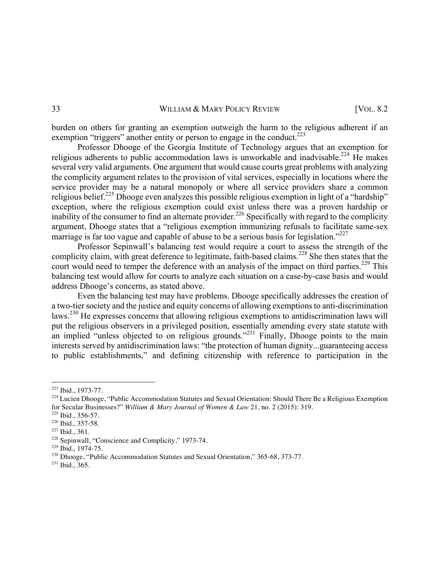burden on others for granting an exemption outweigh the harm to the religious adherent if an exemption "triggers" another entity or person to engage in the conduct.<sup>223</sup>

Professor Dhooge of the Georgia Institute of Technology argues that an exemption for religious adherents to public accommodation laws is unworkable and inadvisable.<sup>224</sup> He makes several very valid arguments. One argument that would cause courts great problems with analyzing the complicity argument relates to the provision of vital services, especially in locations where the service provider may be a natural monopoly or where all service providers share a common religious belief.<sup>225</sup> Dhooge even analyzes this possible religious exemption in light of a "hardship" exception, where the religious exemption could exist unless there was a proven hardship or inability of the consumer to find an alternate provider.<sup>226</sup> Specifically with regard to the complicity argument, Dhooge states that a "religious exemption immunizing refusals to facilitate same-sex marriage is far too vague and capable of abuse to be a serious basis for legislation."<sup>227</sup>

Professor Sepinwall's balancing test would require a court to assess the strength of the complicity claim, with great deference to legitimate, faith-based claims.<sup>228</sup> She then states that the court would need to temper the deference with an analysis of the impact on third parties.<sup>229</sup> This balancing test would allow for courts to analyze each situation on a case-by-case basis and would address Dhooge's concerns, as stated above.

Even the balancing test may have problems. Dhooge specifically addresses the creation of a two-tier society and the justice and equity concerns of allowing exemptions to anti-discrimination laws.230 He expresses concerns that allowing religious exemptions to antidiscrimination laws will put the religious observers in a privileged position, essentially amending every state statute with an implied "unless objected to on religious grounds."<sup>231</sup> Finally, Dhooge points to the main interests served by antidiscrimination laws: "the protection of human dignity...guaranteeing access to public establishments," and defining citizenship with reference to participation in the

 

<sup>&</sup>lt;sup>223</sup> Ibid., 1973-77.<br><sup>224</sup> Lucien Dhooge, "Public Accommodation Statutes and Sexual Orientation: Should There Be a Religious Exemption for Secular Businesses?" *William & Mary Journal of Women & Law* 21, no. 2 (2015): 319. 225 Ibid*.,* 356-57.

<sup>&</sup>lt;sup>227</sup> Ibid., 361.<br><sup>228</sup> Sepinwall, "Conscience and Complicity," 1973-74.

<sup>&</sup>lt;sup>229</sup> Ibid., 1974-75.<br><sup>230</sup> Dhooge, "Public Accommodation Statutes and Sexual Orientation," 365-68, 373-77.

<sup>231</sup> Ibid*.,* 365.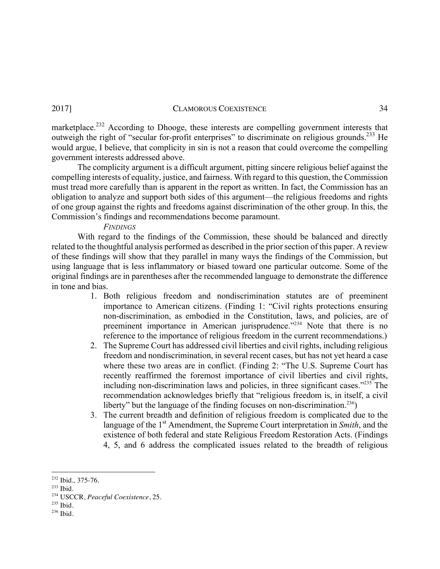marketplace.<sup>232</sup> According to Dhooge, these interests are compelling government interests that outweigh the right of "secular for-profit enterprises" to discriminate on religious grounds.<sup>233</sup> He would argue, I believe, that complicity in sin is not a reason that could overcome the compelling government interests addressed above.

The complicity argument is a difficult argument, pitting sincere religious belief against the compelling interests of equality, justice, and fairness. With regard to this question, the Commission must tread more carefully than is apparent in the report as written. In fact, the Commission has an obligation to analyze and support both sides of this argument—the religious freedoms and rights of one group against the rights and freedoms against discrimination of the other group. In this, the Commission's findings and recommendations become paramount.

# *FINDINGS*

With regard to the findings of the Commission, these should be balanced and directly related to the thoughtful analysis performed as described in the prior section of this paper. A review of these findings will show that they parallel in many ways the findings of the Commission, but using language that is less inflammatory or biased toward one particular outcome. Some of the original findings are in parentheses after the recommended language to demonstrate the difference in tone and bias.

- 1. Both religious freedom and nondiscrimination statutes are of preeminent importance to American citizens. (Finding 1: "Civil rights protections ensuring non-discrimination, as embodied in the Constitution, laws, and policies, are of preeminent importance in American jurisprudence.<sup>"234</sup> Note that there is no reference to the importance of religious freedom in the current recommendations.)
- 2. The Supreme Court has addressed civil liberties and civil rights, including religious freedom and nondiscrimination, in several recent cases, but has not yet heard a case where these two areas are in conflict. (Finding 2: "The U.S. Supreme Court has recently reaffirmed the foremost importance of civil liberties and civil rights, including non-discrimination laws and policies, in three significant cases."235 The recommendation acknowledges briefly that "religious freedom is, in itself, a civil liberty" but the language of the finding focuses on non-discrimination.<sup>236</sup>)
- 3. The current breadth and definition of religious freedom is complicated due to the language of the 1<sup>st</sup> Amendment, the Supreme Court interpretation in *Smith*, and the existence of both federal and state Religious Freedom Restoration Acts. (Findings 4, 5, and 6 address the complicated issues related to the breadth of religious

<sup>232</sup> Ibid*.,* 375-76.

<sup>233</sup> Ibid*.*

<sup>234</sup> USCCR, *Peaceful Coexistence*, 25.

<sup>235</sup> Ibid*.*

<sup>236</sup> Ibid*.*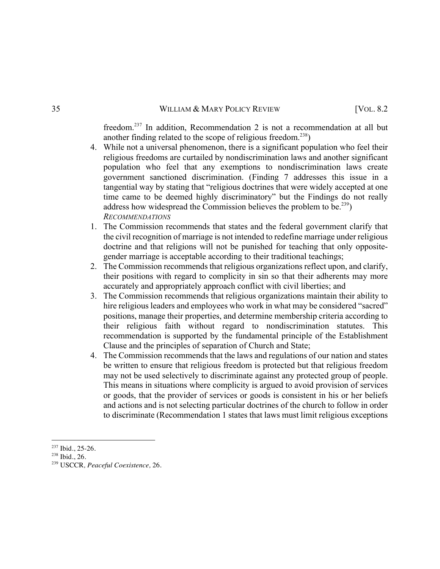freedom.237 In addition, Recommendation 2 is not a recommendation at all but another finding related to the scope of religious freedom.<sup>238</sup>)

- 4. While not a universal phenomenon, there is a significant population who feel their religious freedoms are curtailed by nondiscrimination laws and another significant population who feel that any exemptions to nondiscrimination laws create government sanctioned discrimination. (Finding 7 addresses this issue in a tangential way by stating that "religious doctrines that were widely accepted at one time came to be deemed highly discriminatory" but the Findings do not really address how widespread the Commission believes the problem to be.<sup>239</sup>) *RECOMMENDATIONS*
- 1. The Commission recommends that states and the federal government clarify that the civil recognition of marriage is not intended to redefine marriage under religious doctrine and that religions will not be punished for teaching that only oppositegender marriage is acceptable according to their traditional teachings;
- 2. The Commission recommends that religious organizations reflect upon, and clarify, their positions with regard to complicity in sin so that their adherents may more accurately and appropriately approach conflict with civil liberties; and
- 3. The Commission recommends that religious organizations maintain their ability to hire religious leaders and employees who work in what may be considered "sacred" positions, manage their properties, and determine membership criteria according to their religious faith without regard to nondiscrimination statutes. This recommendation is supported by the fundamental principle of the Establishment Clause and the principles of separation of Church and State;
- 4. The Commission recommends that the laws and regulations of our nation and states be written to ensure that religious freedom is protected but that religious freedom may not be used selectively to discriminate against any protected group of people. This means in situations where complicity is argued to avoid provision of services or goods, that the provider of services or goods is consistent in his or her beliefs and actions and is not selecting particular doctrines of the church to follow in order to discriminate (Recommendation 1 states that laws must limit religious exceptions

<sup>237</sup> Ibid., 25-26.

<sup>238</sup> Ibid., 26.

<sup>239</sup> USCCR*, Peaceful Coexistence,* 26*.*